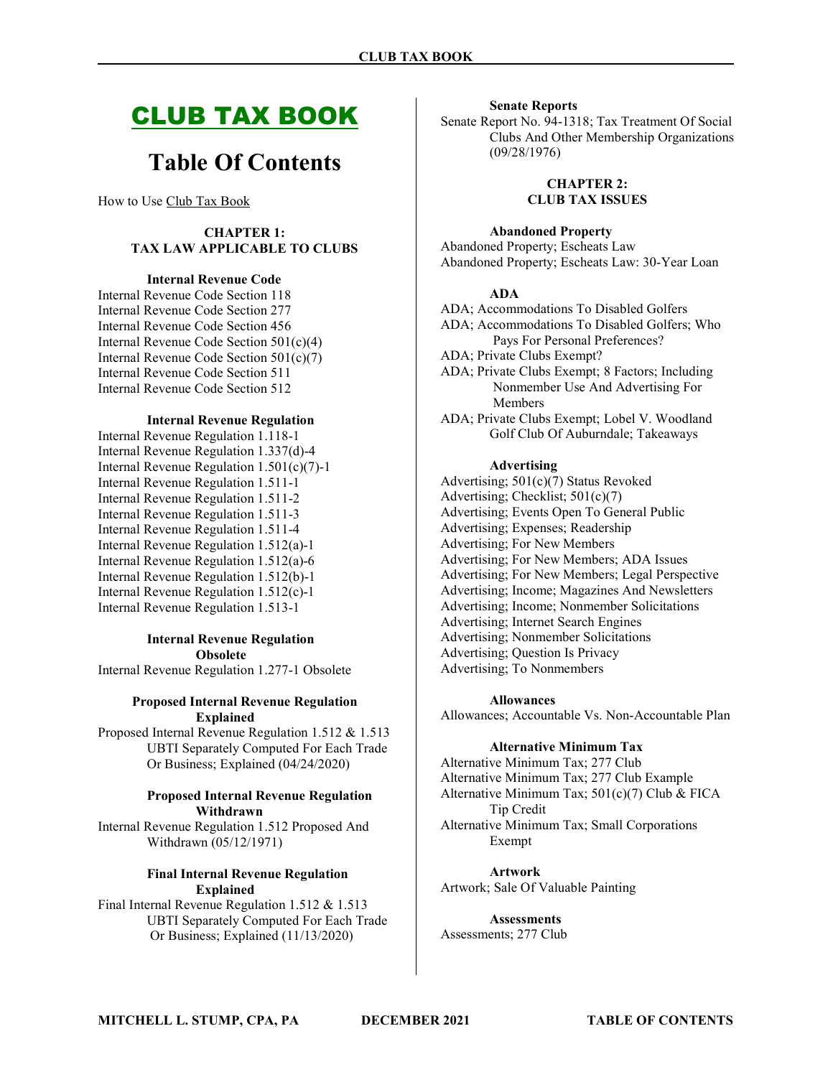# CLUB TAX BOOK

# Table Of Contents

How to Use Club Tax Book

### CHAPTER 1: TAX LAW APPLICABLE TO CLUBS

### Internal Revenue Code

Internal Revenue Code Section 118 Internal Revenue Code Section 277 Internal Revenue Code Section 456 Internal Revenue Code Section 501(c)(4) Internal Revenue Code Section 501(c)(7) Internal Revenue Code Section 511 Internal Revenue Code Section 512

### Internal Revenue Regulation

Internal Revenue Regulation 1.118-1 Internal Revenue Regulation 1.337(d)-4 Internal Revenue Regulation 1.501(c)(7)-1 Internal Revenue Regulation 1.511-1 Internal Revenue Regulation 1.511-2 Internal Revenue Regulation 1.511-3 Internal Revenue Regulation 1.511-4 Internal Revenue Regulation 1.512(a)-1 Internal Revenue Regulation 1.512(a)-6 Internal Revenue Regulation 1.512(b)-1 Internal Revenue Regulation 1.512(c)-1 Internal Revenue Regulation 1.513-1

### Internal Revenue Regulation Obsolete

Internal Revenue Regulation 1.277-1 Obsolete

### Proposed Internal Revenue Regulation Explained

Proposed Internal Revenue Regulation 1.512 & 1.513 UBTI Separately Computed For Each Trade Or Business; Explained (04/24/2020)

### Proposed Internal Revenue Regulation Withdrawn

Internal Revenue Regulation 1.512 Proposed And Withdrawn (05/12/1971)

### Final Internal Revenue Regulation Explained

Final Internal Revenue Regulation 1.512 & 1.513 UBTI Separately Computed For Each Trade Or Business; Explained (11/13/2020)

#### Senate Reports

Senate Report No. 94-1318; Tax Treatment Of Social Clubs And Other Membership Organizations (09/28/1976)

> CHAPTER 2: CLUB TAX ISSUES

Abandoned Property

Abandoned Property; Escheats Law Abandoned Property; Escheats Law: 30-Year Loan

### ADA

ADA; Accommodations To Disabled Golfers ADA; Accommodations To Disabled Golfers; Who Pays For Personal Preferences? ADA; Private Clubs Exempt? ADA; Private Clubs Exempt; 8 Factors; Including Nonmember Use And Advertising For Members ADA; Private Clubs Exempt; Lobel V. Woodland

Golf Club Of Auburndale; Takeaways

### Advertising

Advertising; 501(c)(7) Status Revoked Advertising; Checklist; 501(c)(7) Advertising; Events Open To General Public Advertising; Expenses; Readership Advertising; For New Members Advertising; For New Members; ADA Issues Advertising; For New Members; Legal Perspective Advertising; Income; Magazines And Newsletters Advertising; Income; Nonmember Solicitations Advertising; Internet Search Engines Advertising; Nonmember Solicitations Advertising; Question Is Privacy Advertising; To Nonmembers

#### Allowances

Allowances; Accountable Vs. Non-Accountable Plan

### Alternative Minimum Tax

Alternative Minimum Tax; 277 Club Alternative Minimum Tax; 277 Club Example Alternative Minimum Tax; 501(c)(7) Club & FICA Tip Credit Alternative Minimum Tax; Small Corporations Exempt

Artwork Artwork; Sale Of Valuable Painting

**Assessments** Assessments; 277 Club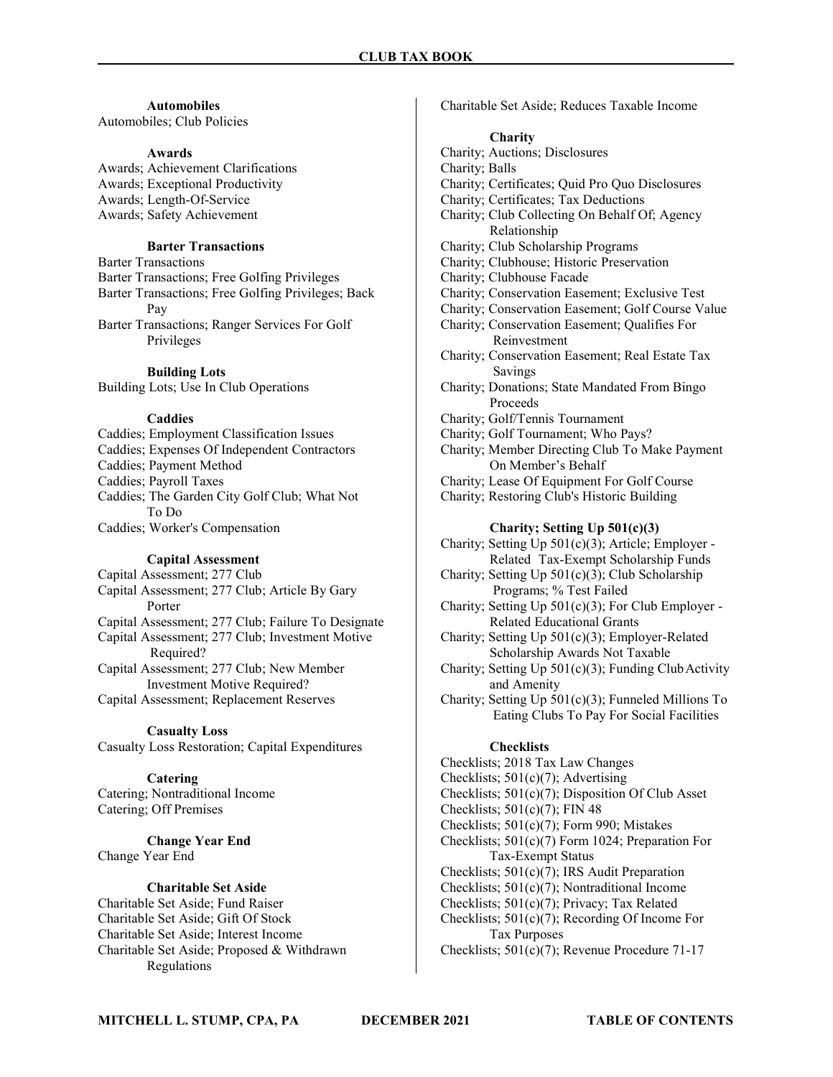### Automobiles

Automobiles; Club Policies

### Awards

Awards; Achievement Clarifications Awards; Exceptional Productivity Awards; Length-Of-Service Awards; Safety Achievement

### Barter Transactions

Barter Transactions Barter Transactions; Free Golfing Privileges Barter Transactions; Free Golfing Privileges; Back Pay

Barter Transactions; Ranger Services For Golf Privileges

### Building Lots

Building Lots; Use In Club Operations

### Caddies

Caddies; Employment Classification Issues Caddies; Expenses Of Independent Contractors Caddies; Payment Method Caddies; Payroll Taxes Caddies; The Garden City Golf Club; What Not To Do Caddies; Worker's Compensation

#### Capital Assessment

Capital Assessment; 277 Club Capital Assessment; 277 Club; Article By Gary Porter Capital Assessment; 277 Club; Failure To Designate Capital Assessment; 277 Club; Investment Motive Required? Capital Assessment; 277 Club; New Member Investment Motive Required?

Capital Assessment; Replacement Reserves

### Casualty Loss

Casualty Loss Restoration; Capital Expenditures

### **Catering**

Catering; Nontraditional Income Catering; Off Premises

Change Year End Change Year End

### Charitable Set Aside

Charitable Set Aside; Fund Raiser Charitable Set Aside; Gift Of Stock Charitable Set Aside; Interest Income Charitable Set Aside; Proposed & Withdrawn Regulations

Charitable Set Aside; Reduces Taxable Income

### **Charity**

Charity; Auctions; Disclosures Charity; Balls Charity; Certificates; Quid Pro Quo Disclosures Charity; Certificates; Tax Deductions Charity; Club Collecting On Behalf Of; Agency Relationship Charity; Club Scholarship Programs Charity; Clubhouse; Historic Preservation Charity; Clubhouse Facade Charity; Conservation Easement; Exclusive Test Charity; Conservation Easement; Golf Course Value Charity; Conservation Easement; Qualifies For Reinvestment Charity; Conservation Easement; Real Estate Tax Savings Charity; Donations; State Mandated From Bingo Proceeds Charity; Golf/Tennis Tournament Charity; Golf Tournament; Who Pays? Charity; Member Directing Club To Make Payment On Member's Behalf Charity; Lease Of Equipment For Golf Course Charity; Restoring Club's Historic Building Charity; Setting Up 501(c)(3) Charity; Setting Up 501(c)(3); Article; Employer - Related Tax-Exempt Scholarship Funds Charity; Setting Up 501(c)(3); Club Scholarship Programs; % Test Failed Charity; Setting Up 501(c)(3); For Club Employer - Related Educational Grants Charity; Setting Up 501(c)(3); Employer-Related Scholarship Awards Not Taxable Charity; Setting Up 501(c)(3); Funding Club Activity and Amenity Charity; Setting Up 501(c)(3); Funneled Millions To Eating Clubs To Pay For Social Facilities **Checklists** Checklists; 2018 Tax Law Changes

Checklists; 501(c)(7); Advertising

Checklists; 501(c)(7); Disposition Of Club Asset

Checklists;  $501(c)(7)$ ; FIN 48

Checklists; 501(c)(7); Form 990; Mistakes

Checklists; 501(c)(7) Form 1024; Preparation For Tax-Exempt Status

Checklists; 501(c)(7); IRS Audit Preparation

Checklists; 501(c)(7); Nontraditional Income Checklists; 501(c)(7); Privacy; Tax Related

Checklists; 501(c)(7); Recording Of Income For Tax Purposes

Checklists; 501(c)(7); Revenue Procedure 71-17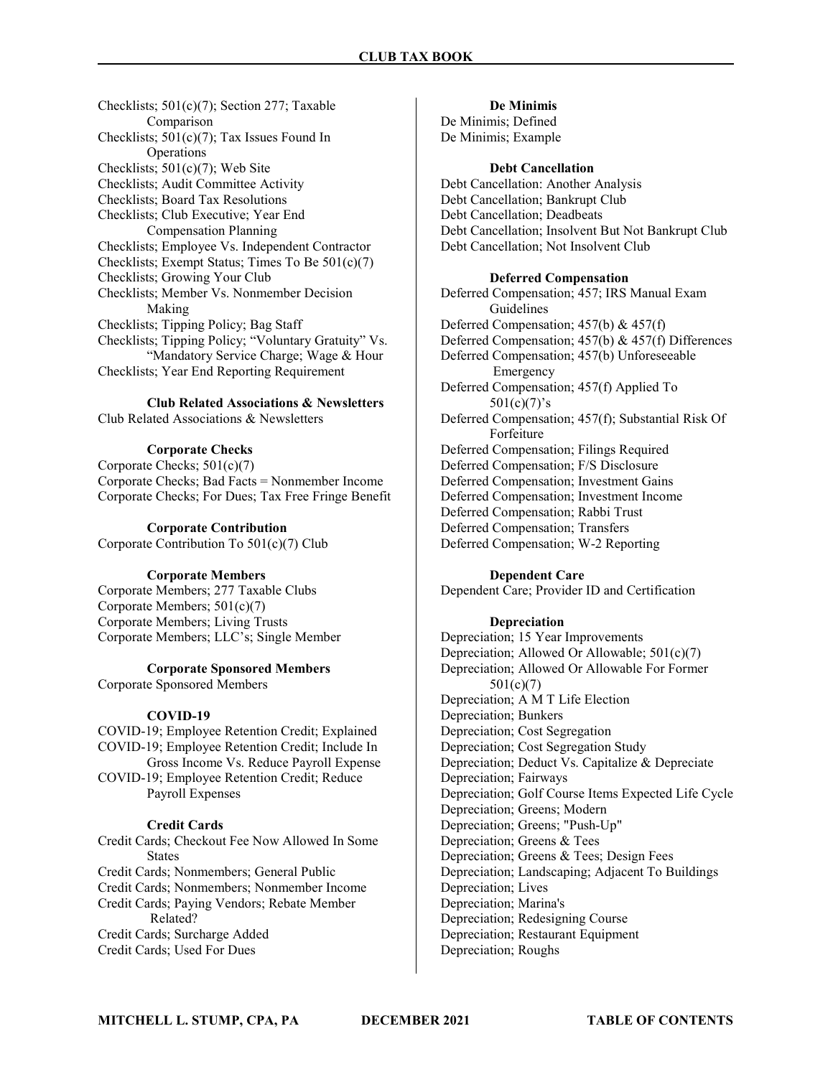Checklists; 501(c)(7); Section 277; Taxable Comparison Checklists; 501(c)(7); Tax Issues Found In Operations Checklists; 501(c)(7); Web Site Checklists; Audit Committee Activity Checklists; Board Tax Resolutions Checklists; Club Executive; Year End Compensation Planning Checklists; Employee Vs. Independent Contractor Checklists; Exempt Status; Times To Be 501(c)(7) Checklists; Growing Your Club Checklists; Member Vs. Nonmember Decision Making Checklists; Tipping Policy; Bag Staff Checklists; Tipping Policy; "Voluntary Gratuity" Vs. "Mandatory Service Charge; Wage & Hour Checklists; Year End Reporting Requirement

Club Related Associations & Newsletters Club Related Associations & Newsletters

### Corporate Checks

Corporate Checks; 501(c)(7) Corporate Checks; Bad Facts = Nonmember Income Corporate Checks; For Dues; Tax Free Fringe Benefit

### Corporate Contribution

Corporate Contribution To 501(c)(7) Club

### Corporate Members

Corporate Members; 277 Taxable Clubs Corporate Members; 501(c)(7) Corporate Members; Living Trusts Corporate Members; LLC's; Single Member

### Corporate Sponsored Members

Corporate Sponsored Members

### COVID-19

COVID-19; Employee Retention Credit; Explained COVID-19; Employee Retention Credit; Include In Gross Income Vs. Reduce Payroll Expense COVID-19; Employee Retention Credit; Reduce Payroll Expenses

### Credit Cards

Credit Cards; Checkout Fee Now Allowed In Some **States** Credit Cards; Nonmembers; General Public Credit Cards; Nonmembers; Nonmember Income Credit Cards; Paying Vendors; Rebate Member Related? Credit Cards; Surcharge Added Credit Cards; Used For Dues

### De Minimis

De Minimis; Defined De Minimis; Example

### Debt Cancellation

Debt Cancellation: Another Analysis Debt Cancellation; Bankrupt Club Debt Cancellation; Deadbeats Debt Cancellation; Insolvent But Not Bankrupt Club Debt Cancellation; Not Insolvent Club

### Deferred Compensation

Deferred Compensation; 457; IRS Manual Exam Guidelines Deferred Compensation; 457(b) & 457(f) Deferred Compensation; 457(b) & 457(f) Differences Deferred Compensation; 457(b) Unforeseeable Emergency Deferred Compensation; 457(f) Applied To  $501(c)(7)'s$ Deferred Compensation; 457(f); Substantial Risk Of Forfeiture Deferred Compensation; Filings Required Deferred Compensation; F/S Disclosure Deferred Compensation; Investment Gains Deferred Compensation; Investment Income Deferred Compensation; Rabbi Trust Deferred Compensation; Transfers Deferred Compensation; W-2 Reporting

### Dependent Care

Dependent Care; Provider ID and Certification

### Depreciation

Depreciation; 15 Year Improvements Depreciation; Allowed Or Allowable; 501(c)(7) Depreciation; Allowed Or Allowable For Former 501(c)(7) Depreciation; A M T Life Election Depreciation; Bunkers Depreciation; Cost Segregation Depreciation; Cost Segregation Study Depreciation; Deduct Vs. Capitalize & Depreciate Depreciation; Fairways Depreciation; Golf Course Items Expected Life Cycle Depreciation; Greens; Modern Depreciation; Greens; "Push-Up" Depreciation; Greens & Tees Depreciation; Greens & Tees; Design Fees Depreciation; Landscaping; Adjacent To Buildings Depreciation; Lives Depreciation; Marina's Depreciation; Redesigning Course Depreciation; Restaurant Equipment Depreciation; Roughs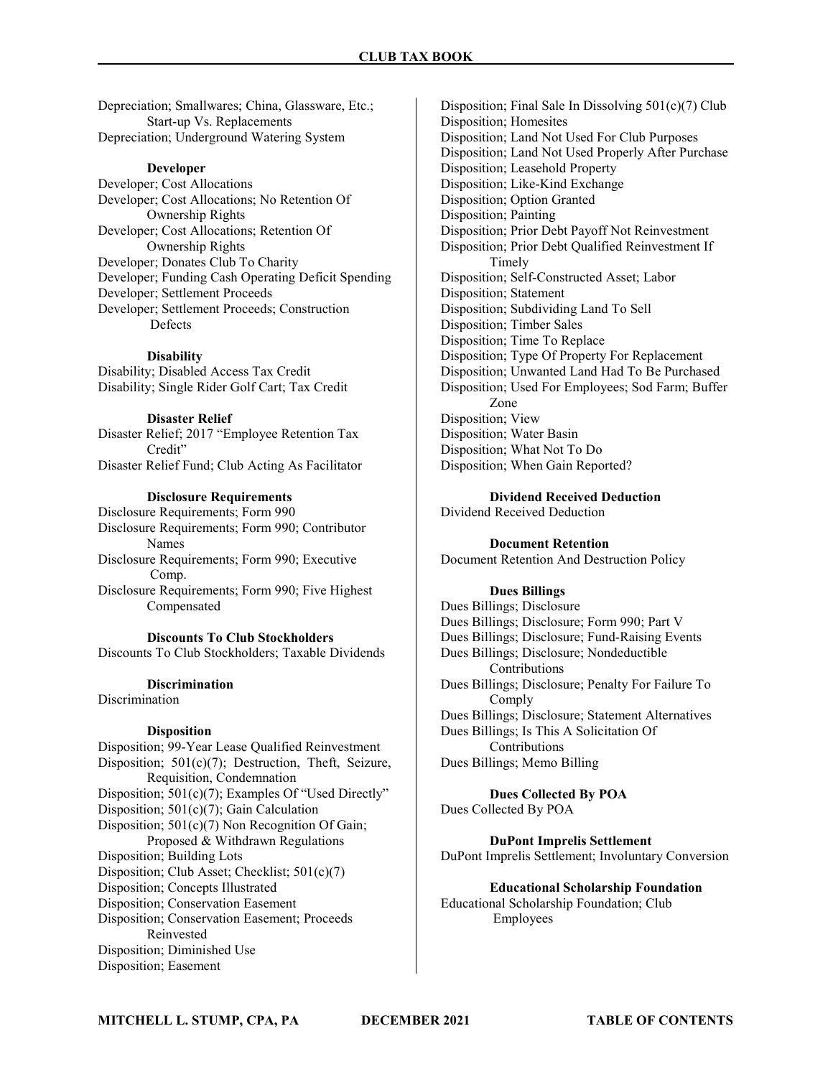Depreciation; Smallwares; China, Glassware, Etc.; Start-up Vs. Replacements Depreciation; Underground Watering System

### Developer

Developer; Cost Allocations Developer; Cost Allocations; No Retention Of Ownership Rights Developer; Cost Allocations; Retention Of Ownership Rights Developer; Donates Club To Charity Developer; Funding Cash Operating Deficit Spending Developer; Settlement Proceeds Developer; Settlement Proceeds; Construction Defects

#### **Disability**

Disability; Disabled Access Tax Credit Disability; Single Rider Golf Cart; Tax Credit

#### Disaster Relief

Disaster Relief; 2017 "Employee Retention Tax Credit" Disaster Relief Fund; Club Acting As Facilitator

### Disclosure Requirements

Disclosure Requirements; Form 990 Disclosure Requirements; Form 990; Contributor Names Disclosure Requirements; Form 990; Executive Comp. Disclosure Requirements; Form 990; Five Highest Compensated

Discounts To Club Stockholders Discounts To Club Stockholders; Taxable Dividends

#### **Discrimination**

Discrimination

#### **Disposition**

Disposition; 99-Year Lease Qualified Reinvestment Disposition; 501(c)(7); Destruction, Theft, Seizure, Requisition, Condemnation Disposition; 501(c)(7); Examples Of "Used Directly" Disposition; 501(c)(7); Gain Calculation Disposition;  $501(c)(7)$  Non Recognition Of Gain; Proposed & Withdrawn Regulations Disposition; Building Lots Disposition; Club Asset; Checklist; 501(c)(7) Disposition; Concepts Illustrated Disposition; Conservation Easement Disposition; Conservation Easement; Proceeds Reinvested Disposition; Diminished Use Disposition; Easement

Disposition; Final Sale In Dissolving 501(c)(7) Club Disposition; Homesites Disposition; Land Not Used For Club Purposes Disposition; Land Not Used Properly After Purchase Disposition; Leasehold Property Disposition; Like-Kind Exchange Disposition; Option Granted Disposition; Painting Disposition; Prior Debt Payoff Not Reinvestment Disposition; Prior Debt Qualified Reinvestment If Timely Disposition; Self-Constructed Asset; Labor Disposition; Statement Disposition; Subdividing Land To Sell Disposition; Timber Sales Disposition; Time To Replace Disposition; Type Of Property For Replacement Disposition; Unwanted Land Had To Be Purchased Disposition; Used For Employees; Sod Farm; Buffer Zone Disposition; View Disposition; Water Basin Disposition; What Not To Do Disposition; When Gain Reported?

Dividend Received Deduction

Dividend Received Deduction

Document Retention Document Retention And Destruction Policy

#### Dues Billings

Dues Billings; Disclosure Dues Billings; Disclosure; Form 990; Part V Dues Billings; Disclosure; Fund-Raising Events Dues Billings; Disclosure; Nondeductible Contributions Dues Billings; Disclosure; Penalty For Failure To Comply Dues Billings; Disclosure; Statement Alternatives Dues Billings; Is This A Solicitation Of Contributions Dues Billings; Memo Billing

### Dues Collected By POA Dues Collected By POA

DuPont Imprelis Settlement DuPont Imprelis Settlement; Involuntary Conversion

Educational Scholarship Foundation Educational Scholarship Foundation; Club Employees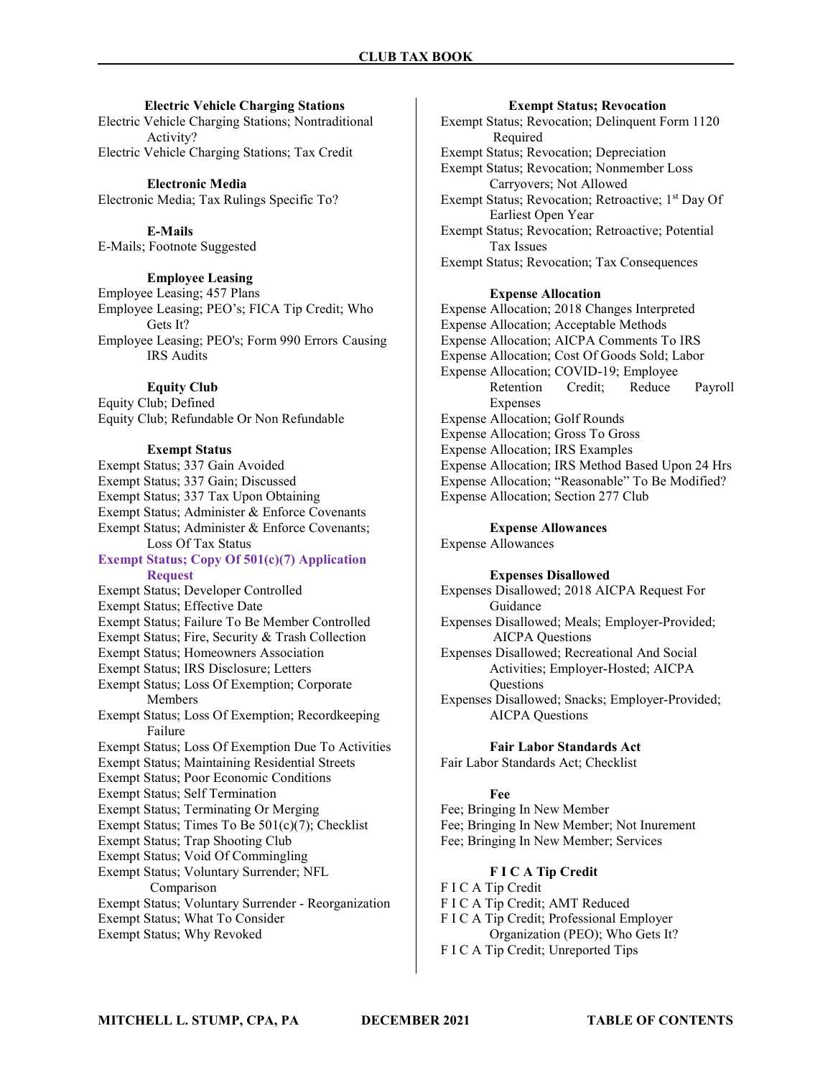### Electric Vehicle Charging Stations

Electric Vehicle Charging Stations; Nontraditional Activity? Electric Vehicle Charging Stations; Tax Credit

Electronic Media Electronic Media; Tax Rulings Specific To?

E-Mails E-Mails; Footnote Suggested

### Employee Leasing

Employee Leasing; 457 Plans Employee Leasing; PEO's; FICA Tip Credit; Who Gets It? Employee Leasing; PEO's; Form 990 Errors Causing IRS Audits

### Equity Club

Equity Club; Defined Equity Club; Refundable Or Non Refundable

### Exempt Status

Exempt Status; 337 Gain Avoided Exempt Status; 337 Gain; Discussed Exempt Status; 337 Tax Upon Obtaining Exempt Status; Administer & Enforce Covenants Exempt Status; Administer & Enforce Covenants; Loss Of Tax Status Exempt Status; Copy Of 501(c)(7) Application Request Exempt Status; Developer Controlled Exempt Status; Effective Date Exempt Status; Failure To Be Member Controlled Exempt Status; Fire, Security & Trash Collection Exempt Status; Homeowners Association Exempt Status; IRS Disclosure; Letters Exempt Status; Loss Of Exemption; Corporate Members Exempt Status; Loss Of Exemption; Recordkeeping Failure Exempt Status; Loss Of Exemption Due To Activities Exempt Status; Maintaining Residential Streets Exempt Status; Poor Economic Conditions Exempt Status; Self Termination Exempt Status; Terminating Or Merging Exempt Status; Times To Be 501(c)(7); Checklist Exempt Status; Trap Shooting Club Exempt Status; Void Of Commingling Exempt Status; Voluntary Surrender; NFL Comparison Exempt Status; Voluntary Surrender - Reorganization Exempt Status; What To Consider

Exempt Status; Why Revoked

#### Exempt Status; Revocation

Exempt Status; Revocation; Delinquent Form 1120 Required Exempt Status; Revocation; Depreciation Exempt Status; Revocation; Nonmember Loss Carryovers; Not Allowed Exempt Status; Revocation; Retroactive; 1<sup>st</sup> Day Of Earliest Open Year Exempt Status; Revocation; Retroactive; Potential Tax Issues Exempt Status; Revocation; Tax Consequences

### Expense Allocation

Expense Allocation; 2018 Changes Interpreted Expense Allocation; Acceptable Methods Expense Allocation; AICPA Comments To IRS Expense Allocation; Cost Of Goods Sold; Labor Expense Allocation; COVID-19; Employee Retention Credit; Reduce Payroll **Expenses** Expense Allocation; Golf Rounds Expense Allocation; Gross To Gross Expense Allocation; IRS Examples Expense Allocation; IRS Method Based Upon 24 Hrs Expense Allocation; "Reasonable" To Be Modified? Expense Allocation; Section 277 Club

### Expense Allowances

Expense Allowances

### Expenses Disallowed

Expenses Disallowed; 2018 AICPA Request For Guidance

Expenses Disallowed; Meals; Employer-Provided; AICPA Questions

Expenses Disallowed; Recreational And Social Activities; Employer-Hosted; AICPA **Ouestions** 

Expenses Disallowed; Snacks; Employer-Provided; AICPA Questions

### Fair Labor Standards Act

Fair Labor Standards Act; Checklist

#### Fee

Fee; Bringing In New Member Fee; Bringing In New Member; Not Inurement Fee; Bringing In New Member; Services

### F I C A Tip Credit

F I C A Tip Credit F I C A Tip Credit; AMT Reduced F I C A Tip Credit; Professional Employer Organization (PEO); Who Gets It? F I C A Tip Credit; Unreported Tips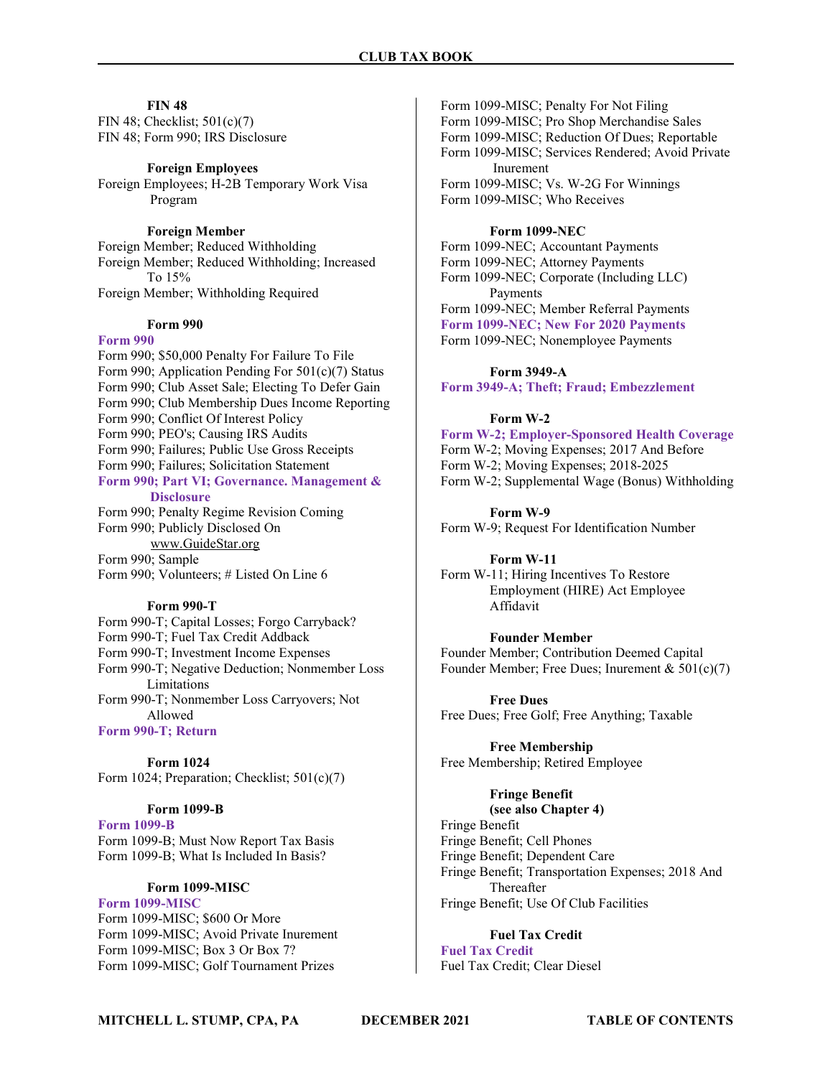### FIN 48

FIN 48; Checklist; 501(c)(7) FIN 48; Form 990; IRS Disclosure

Foreign Employees

Foreign Employees; H-2B Temporary Work Visa Program

### Foreign Member

Foreign Member; Reduced Withholding Foreign Member; Reduced Withholding; Increased To 15% Foreign Member; Withholding Required

### Form 990

#### Form 990

Form 990; \$50,000 Penalty For Failure To File Form 990; Application Pending For 501(c)(7) Status Form 990; Club Asset Sale; Electing To Defer Gain Form 990; Club Membership Dues Income Reporting Form 990; Conflict Of Interest Policy Form 990; PEO's; Causing IRS Audits Form 990; Failures; Public Use Gross Receipts Form 990; Failures; Solicitation Statement Form 990; Part VI; Governance. Management &

#### **Disclosure**

Form 990; Penalty Regime Revision Coming Form 990; Publicly Disclosed On www.GuideStar.org Form 990; Sample

Form 990; Volunteers; # Listed On Line 6

#### Form 990-T

Form 990-T; Capital Losses; Forgo Carryback? Form 990-T; Fuel Tax Credit Addback Form 990-T; Investment Income Expenses Form 990-T; Negative Deduction; Nonmember Loss Limitations Form 990-T; Nonmember Loss Carryovers; Not Allowed

Form 990-T; Return

Form 1024 Form 1024; Preparation; Checklist; 501(c)(7)

### Form 1099-B

Form 1099-B Form 1099-B; Must Now Report Tax Basis Form 1099-B; What Is Included In Basis?

### Form 1099-MISC

Form 1099-MISC Form 1099-MISC; \$600 Or More Form 1099-MISC; Avoid Private Inurement Form 1099-MISC; Box 3 Or Box 7? Form 1099-MISC; Golf Tournament Prizes

Form 1099-MISC; Penalty For Not Filing Form 1099-MISC; Pro Shop Merchandise Sales Form 1099-MISC; Reduction Of Dues; Reportable Form 1099-MISC; Services Rendered; Avoid Private Inurement Form 1099-MISC; Vs. W-2G For Winnings Form 1099-MISC; Who Receives

### Form 1099-NEC

Form 1099-NEC; Accountant Payments Form 1099-NEC; Attorney Payments Form 1099-NEC; Corporate (Including LLC) Payments Form 1099-NEC; Member Referral Payments Form 1099-NEC; New For 2020 Payments Form 1099-NEC; Nonemployee Payments

Form 3949-A

Form 3949-A; Theft; Fraud; Embezzlement

### Form W-2

Form W-2; Employer-Sponsored Health Coverage Form W-2; Moving Expenses; 2017 And Before Form W-2; Moving Expenses; 2018-2025 Form W-2; Supplemental Wage (Bonus) Withholding

Form W-9 Form W-9; Request For Identification Number

Form W-11 Form W-11; Hiring Incentives To Restore Employment (HIRE) Act Employee Affidavit

Founder Member Founder Member; Contribution Deemed Capital Founder Member; Free Dues; Inurement  $& 501(c)(7)$ 

Free Dues Free Dues; Free Golf; Free Anything; Taxable

Free Membership Free Membership; Retired Employee

### Fringe Benefit

(see also Chapter 4) Fringe Benefit Fringe Benefit; Cell Phones Fringe Benefit; Dependent Care Fringe Benefit; Transportation Expenses; 2018 And Thereafter Fringe Benefit; Use Of Club Facilities

### Fuel Tax Credit

Fuel Tax Credit Fuel Tax Credit; Clear Diesel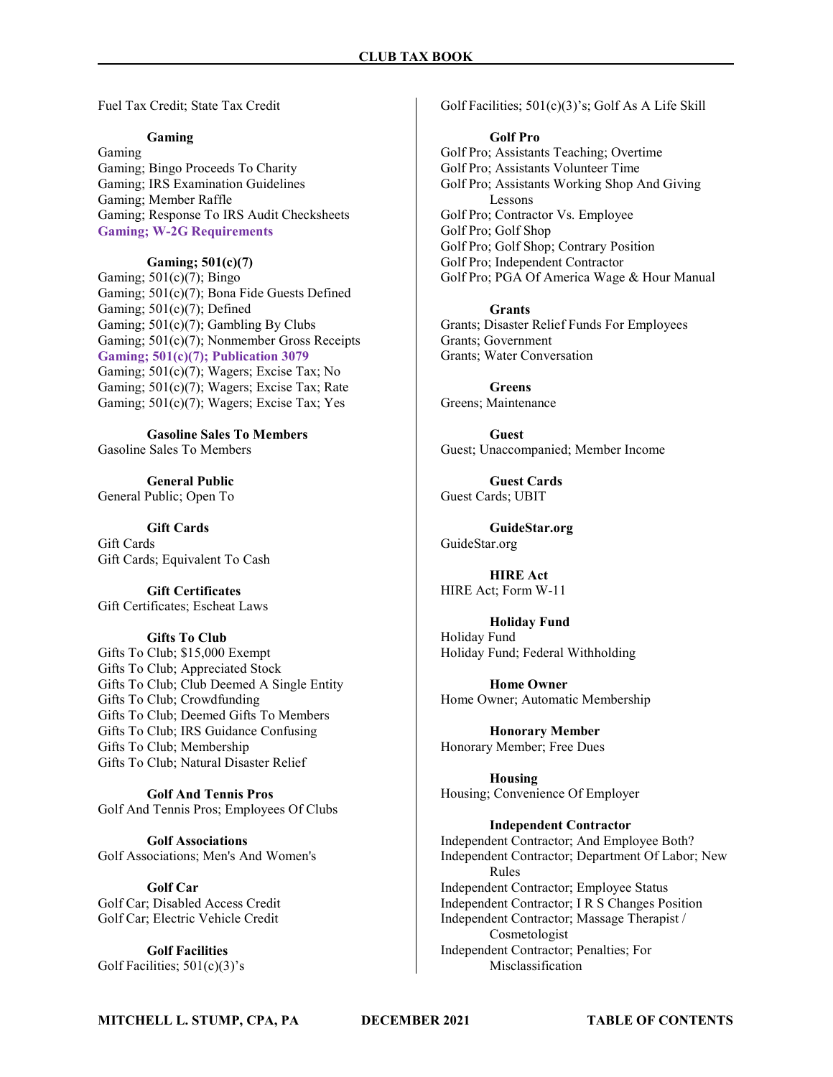Fuel Tax Credit; State Tax Credit

### Gaming

Gaming Gaming; Bingo Proceeds To Charity Gaming; IRS Examination Guidelines Gaming; Member Raffle Gaming; Response To IRS Audit Checksheets Gaming; W-2G Requirements

### Gaming; 501(c)(7)

Gaming;  $501(c)(7)$ ; Bingo Gaming; 501(c)(7); Bona Fide Guests Defined Gaming;  $501(c)(7)$ ; Defined Gaming; 501(c)(7); Gambling By Clubs Gaming; 501(c)(7); Nonmember Gross Receipts Gaming; 501(c)(7); Publication 3079 Gaming; 501(c)(7); Wagers; Excise Tax; No Gaming; 501(c)(7); Wagers; Excise Tax; Rate Gaming; 501(c)(7); Wagers; Excise Tax; Yes

Gasoline Sales To Members Gasoline Sales To Members

General Public General Public; Open To

Gift Cards Gift Cards Gift Cards; Equivalent To Cash

Gift Certificates Gift Certificates; Escheat Laws

### Gifts To Club

Gifts To Club; \$15,000 Exempt Gifts To Club; Appreciated Stock Gifts To Club; Club Deemed A Single Entity Gifts To Club; Crowdfunding Gifts To Club; Deemed Gifts To Members Gifts To Club; IRS Guidance Confusing Gifts To Club; Membership Gifts To Club; Natural Disaster Relief

Golf And Tennis Pros Golf And Tennis Pros; Employees Of Clubs

Golf Associations Golf Associations; Men's And Women's

Golf Car Golf Car; Disabled Access Credit Golf Car; Electric Vehicle Credit

Golf Facilities Golf Facilities;  $501(c)(3)$ 's Golf Facilities; 501(c)(3)'s; Golf As A Life Skill

### Golf Pro

Golf Pro; Assistants Teaching; Overtime Golf Pro; Assistants Volunteer Time Golf Pro; Assistants Working Shop And Giving Lessons Golf Pro; Contractor Vs. Employee Golf Pro; Golf Shop Golf Pro; Golf Shop; Contrary Position Golf Pro; Independent Contractor Golf Pro; PGA Of America Wage & Hour Manual

Grants Grants; Disaster Relief Funds For Employees Grants; Government Grants; Water Conversation

Greens Greens; Maintenance

Guest Guest; Unaccompanied; Member Income

Guest Cards Guest Cards; UBIT

GuideStar.org GuideStar.org

HIRE Act HIRE Act; Form W-11

Holiday Fund Holiday Fund Holiday Fund; Federal Withholding

Home Owner Home Owner; Automatic Membership

Honorary Member Honorary Member; Free Dues

Housing Housing; Convenience Of Employer

Independent Contractor Independent Contractor; And Employee Both? Independent Contractor; Department Of Labor; New Rules Independent Contractor; Employee Status Independent Contractor; I R S Changes Position Independent Contractor; Massage Therapist / Cosmetologist Independent Contractor; Penalties; For Misclassification

MITCHELL L. STUMP, CPA, PA DECEMBER 2021 TABLE OF CONTENTS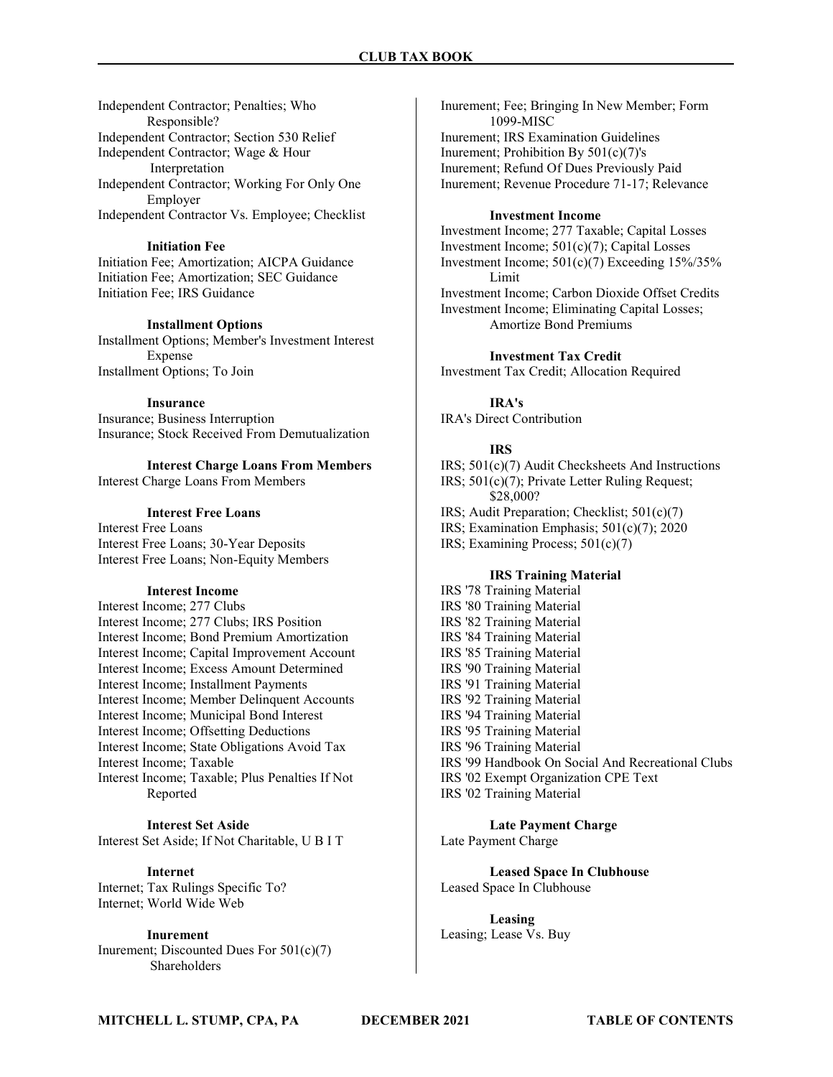Independent Contractor; Penalties; Who Responsible? Independent Contractor; Section 530 Relief Independent Contractor; Wage & Hour Interpretation Independent Contractor; Working For Only One Employer Independent Contractor Vs. Employee; Checklist

### Initiation Fee

Initiation Fee; Amortization; AICPA Guidance Initiation Fee; Amortization; SEC Guidance Initiation Fee; IRS Guidance

### Installment Options

Installment Options; Member's Investment Interest Expense Installment Options; To Join

### Insurance

Insurance; Business Interruption Insurance; Stock Received From Demutualization

Interest Charge Loans From Members

Interest Charge Loans From Members

### Interest Free Loans

Interest Free Loans Interest Free Loans; 30-Year Deposits Interest Free Loans; Non-Equity Members

### Interest Income

Interest Income; 277 Clubs Interest Income; 277 Clubs; IRS Position Interest Income; Bond Premium Amortization Interest Income; Capital Improvement Account Interest Income; Excess Amount Determined Interest Income; Installment Payments Interest Income; Member Delinquent Accounts Interest Income; Municipal Bond Interest Interest Income; Offsetting Deductions Interest Income; State Obligations Avoid Tax Interest Income; Taxable Interest Income; Taxable; Plus Penalties If Not Reported

### Interest Set Aside

Interest Set Aside; If Not Charitable, U B I T

### Internet

Internet; Tax Rulings Specific To? Internet; World Wide Web

### Inurement

Inurement; Discounted Dues For 501(c)(7) Shareholders

Inurement; Fee; Bringing In New Member; Form 1099-MISC Inurement; IRS Examination Guidelines Inurement; Prohibition By  $501(c)(7)$ 's Inurement; Refund Of Dues Previously Paid Inurement; Revenue Procedure 71-17; Relevance

### Investment Income

Investment Income; 277 Taxable; Capital Losses Investment Income; 501(c)(7); Capital Losses Investment Income;  $501(c)(7)$  Exceeding  $15\%/35\%$ Limit Investment Income; Carbon Dioxide Offset Credits Investment Income; Eliminating Capital Losses; Amortize Bond Premiums

### Investment Tax Credit

Investment Tax Credit; Allocation Required

IRA's IRA's Direct Contribution

### IRS

IRS; 501(c)(7) Audit Checksheets And Instructions IRS; 501(c)(7); Private Letter Ruling Request; \$28,000? IRS; Audit Preparation; Checklist; 501(c)(7) IRS; Examination Emphasis; 501(c)(7); 2020 IRS; Examining Process; 501(c)(7)

### IRS Training Material

IRS '78 Training Material IRS '80 Training Material IRS '82 Training Material IRS '84 Training Material IRS '85 Training Material IRS '90 Training Material IRS '91 Training Material IRS '92 Training Material IRS '94 Training Material IRS '95 Training Material IRS '96 Training Material IRS '99 Handbook On Social And Recreational Clubs IRS '02 Exempt Organization CPE Text IRS '02 Training Material

Late Payment Charge Late Payment Charge

Leased Space In Clubhouse Leased Space In Clubhouse

Leasing Leasing; Lease Vs. Buy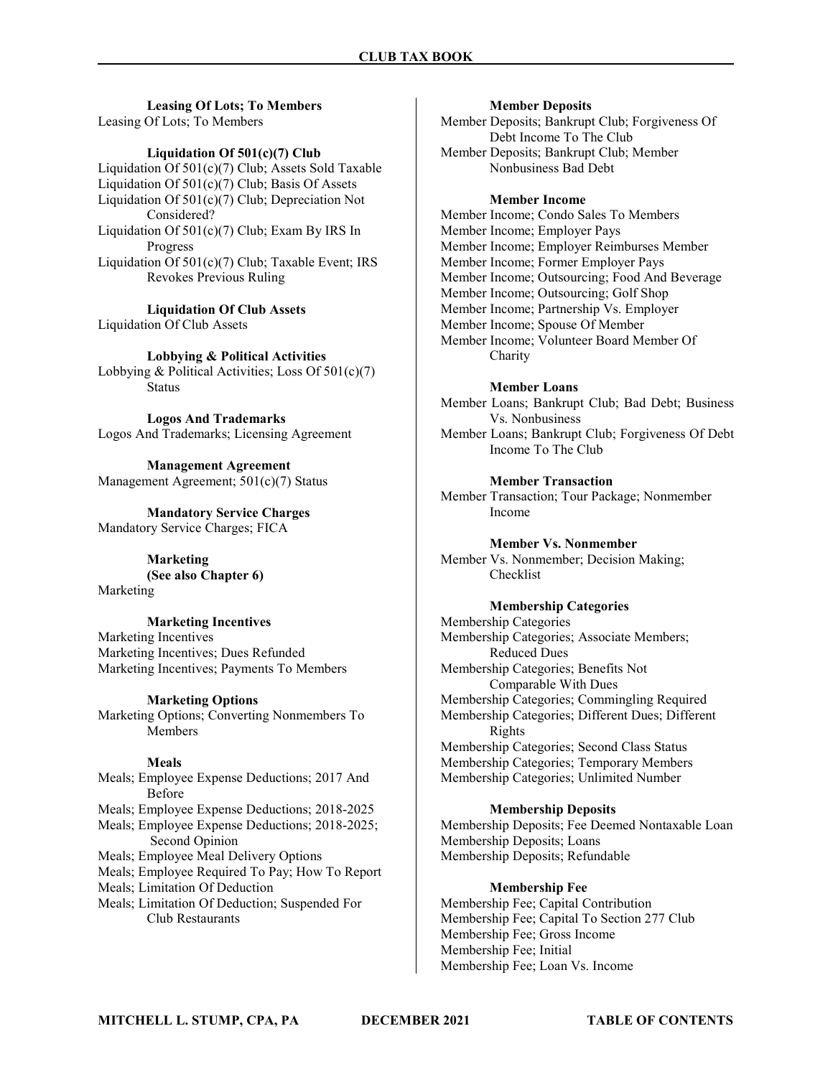Leasing Of Lots; To Members Leasing Of Lots; To Members

### Liquidation Of 501(c)(7) Club

Liquidation Of 501(c)(7) Club; Assets Sold Taxable Liquidation Of 501(c)(7) Club; Basis Of Assets Liquidation Of 501(c)(7) Club; Depreciation Not Considered? Liquidation Of 501(c)(7) Club; Exam By IRS In Progress Liquidation Of 501(c)(7) Club; Taxable Event; IRS Revokes Previous Ruling

Liquidation Of Club Assets Liquidation Of Club Assets

Lobbying & Political Activities Lobbying & Political Activities; Loss Of 501(c)(7) Status

Logos And Trademarks Logos And Trademarks; Licensing Agreement

Management Agreement Management Agreement; 501(c)(7) Status

Mandatory Service Charges Mandatory Service Charges; FICA

> Marketing (See also Chapter 6)

Marketing

### Marketing Incentives

Marketing Incentives Marketing Incentives; Dues Refunded Marketing Incentives; Payments To Members

### Marketing Options

Marketing Options; Converting Nonmembers To **Members** 

### Meals

Meals; Employee Expense Deductions; 2017 And Before Meals; Employee Expense Deductions; 2018-2025 Meals; Employee Expense Deductions; 2018-2025; Second Opinion Meals; Employee Meal Delivery Options Meals; Employee Required To Pay; How To Report Meals; Limitation Of Deduction Meals; Limitation Of Deduction; Suspended For Club Restaurants

#### Member Deposits

Member Deposits; Bankrupt Club; Forgiveness Of Debt Income To The Club Member Deposits; Bankrupt Club; Member Nonbusiness Bad Debt

#### Member Income

Member Income; Condo Sales To Members Member Income; Employer Pays Member Income; Employer Reimburses Member Member Income; Former Employer Pays Member Income; Outsourcing; Food And Beverage Member Income; Outsourcing; Golf Shop Member Income; Partnership Vs. Employer Member Income; Spouse Of Member Member Income; Volunteer Board Member Of Charity

#### Member Loans

Member Loans; Bankrupt Club; Bad Debt; Business Vs. Nonbusiness

Member Loans; Bankrupt Club; Forgiveness Of Debt Income To The Club

### Member Transaction

Member Transaction; Tour Package; Nonmember Income

### Member Vs. Nonmember

Member Vs. Nonmember; Decision Making; Checklist

### Membership Categories

Membership Categories Membership Categories; Associate Members; Reduced Dues Membership Categories; Benefits Not Comparable With Dues Membership Categories; Commingling Required Membership Categories; Different Dues; Different Rights Membership Categories; Second Class Status Membership Categories; Temporary Members Membership Categories; Unlimited Number

### Membership Deposits

Membership Deposits; Fee Deemed Nontaxable Loan Membership Deposits; Loans Membership Deposits; Refundable

### Membership Fee

Membership Fee; Capital Contribution Membership Fee; Capital To Section 277 Club Membership Fee; Gross Income Membership Fee; Initial Membership Fee; Loan Vs. Income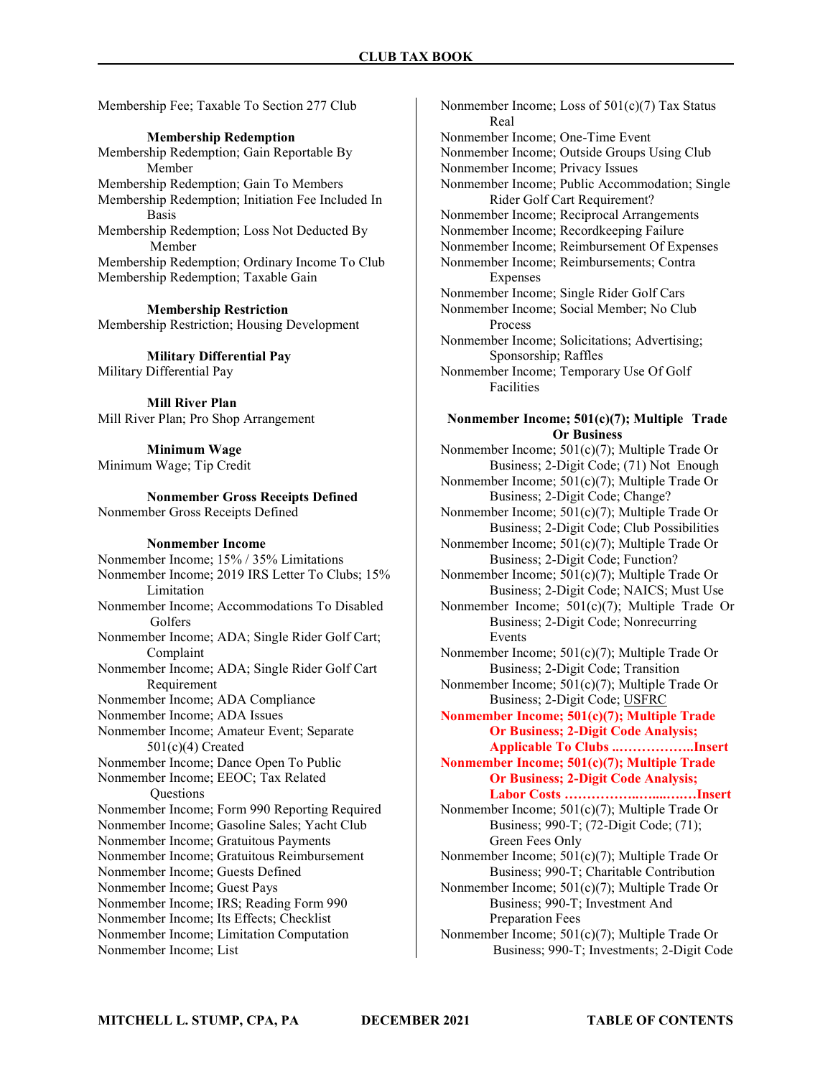Membership Fee; Taxable To Section 277 Club

Membership Redemption

Membership Redemption; Gain Reportable By Member Membership Redemption; Gain To Members Membership Redemption; Initiation Fee Included In Basis Membership Redemption; Loss Not Deducted By Member Membership Redemption; Ordinary Income To Club Membership Redemption; Taxable Gain

Membership Restriction Membership Restriction; Housing Development

Military Differential Pay Military Differential Pay

Mill River Plan Mill River Plan; Pro Shop Arrangement

Minimum Wage Minimum Wage; Tip Credit

Nonmember Gross Receipts Defined Nonmember Gross Receipts Defined

### Nonmember Income

Nonmember Income; 15% / 35% Limitations Nonmember Income; 2019 IRS Letter To Clubs; 15% Limitation Nonmember Income; Accommodations To Disabled Golfers Nonmember Income; ADA; Single Rider Golf Cart; Complaint Nonmember Income; ADA; Single Rider Golf Cart Requirement Nonmember Income; ADA Compliance Nonmember Income; ADA Issues Nonmember Income; Amateur Event; Separate 501(c)(4) Created Nonmember Income; Dance Open To Public Nonmember Income; EEOC; Tax Related **Questions** Nonmember Income; Form 990 Reporting Required Nonmember Income; Gasoline Sales; Yacht Club Nonmember Income; Gratuitous Payments Nonmember Income; Gratuitous Reimbursement Nonmember Income; Guests Defined Nonmember Income; Guest Pays Nonmember Income; IRS; Reading Form 990 Nonmember Income; Its Effects; Checklist Nonmember Income; Limitation Computation Nonmember Income; List

Nonmember Income; Loss of 501(c)(7) Tax Status Real Nonmember Income; One-Time Event Nonmember Income; Outside Groups Using Club Nonmember Income; Privacy Issues Nonmember Income; Public Accommodation; Single Rider Golf Cart Requirement? Nonmember Income; Reciprocal Arrangements Nonmember Income; Recordkeeping Failure Nonmember Income; Reimbursement Of Expenses Nonmember Income; Reimbursements; Contra Expenses Nonmember Income; Single Rider Golf Cars Nonmember Income; Social Member; No Club Process Nonmember Income; Solicitations; Advertising; Sponsorship; Raffles Nonmember Income; Temporary Use Of Golf Facilities

### Nonmember Income; 501(c)(7); Multiple Trade Or Business

Nonmember Income; 501(c)(7); Multiple Trade Or Business; 2-Digit Code; (71) Not Enough Nonmember Income; 501(c)(7); Multiple Trade Or Business; 2-Digit Code; Change? Nonmember Income; 501(c)(7); Multiple Trade Or Business; 2-Digit Code; Club Possibilities Nonmember Income; 501(c)(7); Multiple Trade Or Business; 2-Digit Code; Function? Nonmember Income; 501(c)(7); Multiple Trade Or Business; 2-Digit Code; NAICS; Must Use Nonmember Income; 501(c)(7); Multiple Trade Or Business; 2-Digit Code; Nonrecurring Events Nonmember Income; 501(c)(7); Multiple Trade Or Business; 2-Digit Code; Transition Nonmember Income; 501(c)(7); Multiple Trade Or Business; 2-Digit Code; USFRC Nonmember Income; 501(c)(7); Multiple Trade Or Business; 2-Digit Code Analysis; Applicable To Clubs ..……………..Insert Nonmember Income; 501(c)(7); Multiple Trade Or Business; 2-Digit Code Analysis; Labor Costs ……………..…....….…Insert

Nonmember Income; 501(c)(7); Multiple Trade Or Business; 990-T; (72-Digit Code; (71); Green Fees Only

Nonmember Income; 501(c)(7); Multiple Trade Or Business; 990-T; Charitable Contribution Nonmember Income; 501(c)(7); Multiple Trade Or Business; 990-T; Investment And

 Preparation Fees Nonmember Income; 501(c)(7); Multiple Trade Or

Business; 990-T; Investments; 2-Digit Code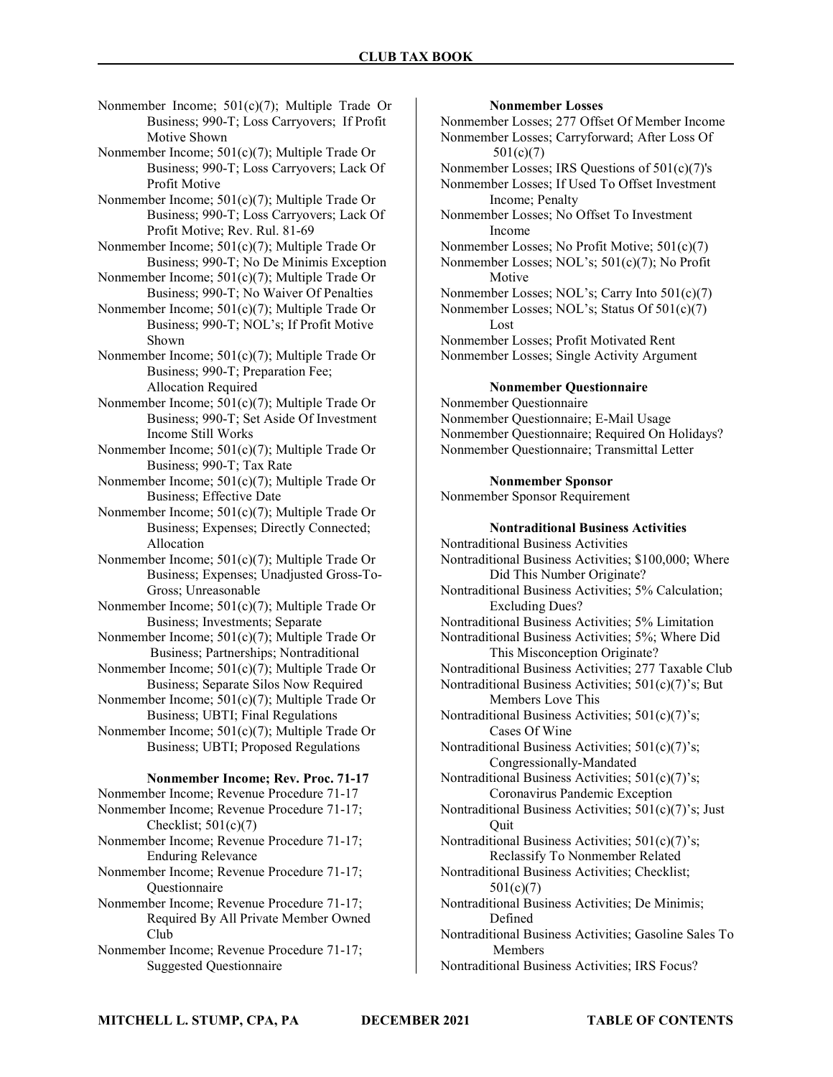Nonmember Income; 501(c)(7); Multiple Trade Or Business; 990-T; Loss Carryovers; If Profit Motive Shown

Nonmember Income; 501(c)(7); Multiple Trade Or Business; 990-T; Loss Carryovers; Lack Of Profit Motive

Nonmember Income; 501(c)(7); Multiple Trade Or Business; 990-T; Loss Carryovers; Lack Of Profit Motive; Rev. Rul. 81-69

Nonmember Income; 501(c)(7); Multiple Trade Or Business; 990-T; No De Minimis Exception

Nonmember Income; 501(c)(7); Multiple Trade Or Business; 990-T; No Waiver Of Penalties

Nonmember Income; 501(c)(7); Multiple Trade Or Business; 990-T; NOL's; If Profit Motive Shown

Nonmember Income; 501(c)(7); Multiple Trade Or Business; 990-T; Preparation Fee; Allocation Required

Nonmember Income; 501(c)(7); Multiple Trade Or Business; 990-T; Set Aside Of Investment Income Still Works

Nonmember Income; 501(c)(7); Multiple Trade Or Business; 990-T; Tax Rate

Nonmember Income; 501(c)(7); Multiple Trade Or Business; Effective Date

Nonmember Income; 501(c)(7); Multiple Trade Or Business; Expenses; Directly Connected; Allocation

Nonmember Income; 501(c)(7); Multiple Trade Or Business; Expenses; Unadjusted Gross-To- Gross; Unreasonable

Nonmember Income; 501(c)(7); Multiple Trade Or Business; Investments; Separate

Nonmember Income; 501(c)(7); Multiple Trade Or Business; Partnerships; Nontraditional

Nonmember Income; 501(c)(7); Multiple Trade Or Business; Separate Silos Now Required

Nonmember Income; 501(c)(7); Multiple Trade Or Business; UBTI; Final Regulations

Nonmember Income; 501(c)(7); Multiple Trade Or Business; UBTI; Proposed Regulations

### Nonmember Income; Rev. Proc. 71-17

Nonmember Income; Revenue Procedure 71-17 Nonmember Income; Revenue Procedure 71-17; Checklist;  $501(c)(7)$ Nonmember Income; Revenue Procedure 71-17; Enduring Relevance

Nonmember Income; Revenue Procedure 71-17; **Questionnaire** 

- Nonmember Income; Revenue Procedure 71-17; Required By All Private Member Owned Club
- Nonmember Income; Revenue Procedure 71-17; Suggested Questionnaire

### Nonmember Losses

Nonmember Losses; 277 Offset Of Member Income Nonmember Losses; Carryforward; After Loss Of 501(c)(7)

Nonmember Losses; IRS Questions of 501(c)(7)'s

Nonmember Losses; If Used To Offset Investment Income; Penalty

Nonmember Losses; No Offset To Investment Income

Nonmember Losses; No Profit Motive; 501(c)(7) Nonmember Losses; NOL's; 501(c)(7); No Profit

 Motive Nonmember Losses; NOL's; Carry Into 501(c)(7)

Nonmember Losses; NOL's; Status Of 501(c)(7) Lost

Nonmember Losses; Profit Motivated Rent Nonmember Losses; Single Activity Argument

### Nonmember Questionnaire

Nonmember Questionnaire Nonmember Questionnaire; E-Mail Usage Nonmember Questionnaire; Required On Holidays? Nonmember Questionnaire; Transmittal Letter

### Nonmember Sponsor

Nonmember Sponsor Requirement

### Nontraditional Business Activities

Nontraditional Business Activities Nontraditional Business Activities; \$100,000; Where Did This Number Originate? Nontraditional Business Activities; 5% Calculation;

 Excluding Dues? Nontraditional Business Activities; 5% Limitation

Nontraditional Business Activities; 5%; Where Did This Misconception Originate?

Nontraditional Business Activities; 277 Taxable Club

Nontraditional Business Activities; 501(c)(7)'s; But Members Love This

Nontraditional Business Activities; 501(c)(7)'s; Cases Of Wine

Nontraditional Business Activities; 501(c)(7)'s; Congressionally-Mandated

Nontraditional Business Activities; 501(c)(7)'s; Coronavirus Pandemic Exception

Nontraditional Business Activities; 501(c)(7)'s; Just **Ouit** 

Nontraditional Business Activities; 501(c)(7)'s; Reclassify To Nonmember Related

Nontraditional Business Activities; Checklist; 501(c)(7)

Nontraditional Business Activities; De Minimis; Defined

Nontraditional Business Activities; Gasoline Sales To Members

Nontraditional Business Activities; IRS Focus?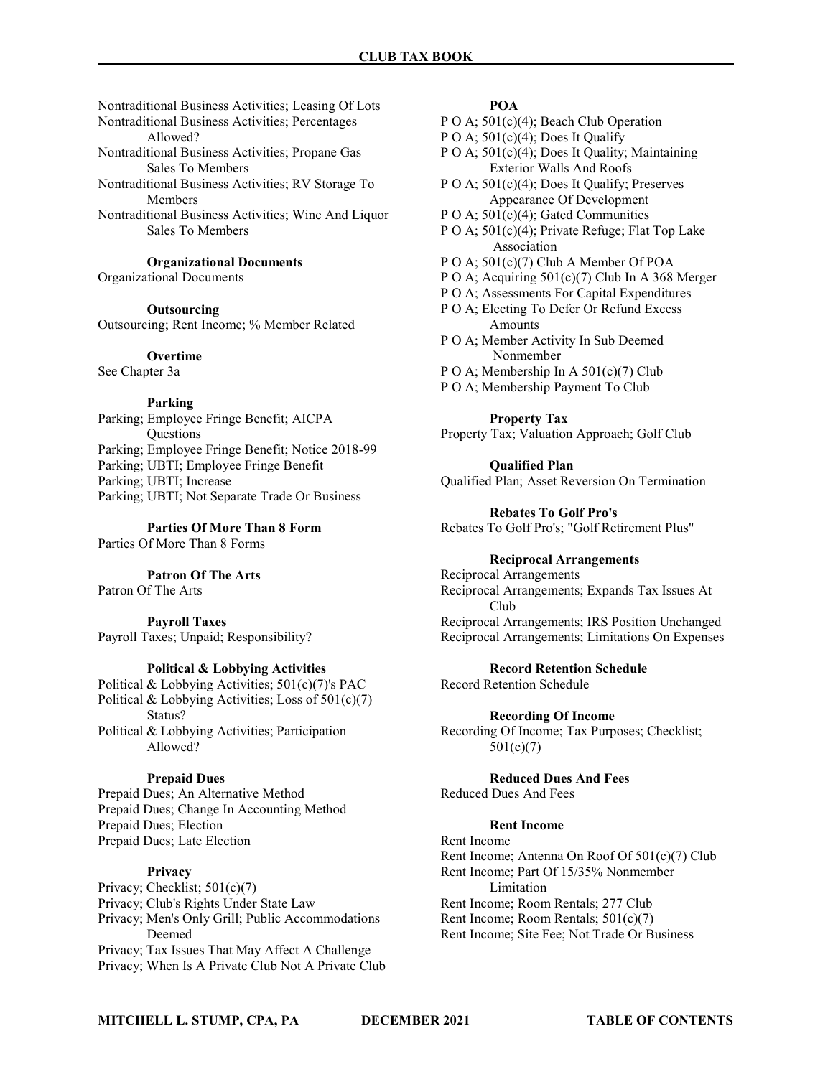Nontraditional Business Activities; Leasing Of Lots Nontraditional Business Activities; Percentages Allowed? Nontraditional Business Activities; Propane Gas Sales To Members Nontraditional Business Activities; RV Storage To Members

Nontraditional Business Activities; Wine And Liquor Sales To Members

Organizational Documents

Organizational Documents

**Outsourcing** Outsourcing; Rent Income; % Member Related

**Overtime** See Chapter 3a

Parking

Parking; Employee Fringe Benefit; AICPA **Ouestions** Parking; Employee Fringe Benefit; Notice 2018-99 Parking; UBTI; Employee Fringe Benefit Parking; UBTI; Increase Parking; UBTI; Not Separate Trade Or Business

Parties Of More Than 8 Form Parties Of More Than 8 Forms

Patron Of The Arts

Patron Of The Arts

Payroll Taxes Payroll Taxes; Unpaid; Responsibility?

### Political & Lobbying Activities

Political & Lobbying Activities; 501(c)(7)'s PAC Political & Lobbying Activities; Loss of 501(c)(7) Status? Political & Lobbying Activities; Participation Allowed?

### Prepaid Dues

Prepaid Dues; An Alternative Method Prepaid Dues; Change In Accounting Method Prepaid Dues; Election Prepaid Dues; Late Election

### **Privacy**

Privacy; Checklist; 501(c)(7) Privacy; Club's Rights Under State Law Privacy; Men's Only Grill; Public Accommodations Deemed Privacy; Tax Issues That May Affect A Challenge Privacy; When Is A Private Club Not A Private Club

### POA

P O A;  $501(c)(4)$ ; Beach Club Operation

P O A;  $501(c)(4)$ ; Does It Qualify

- P O A; 501(c)(4); Does It Quality; Maintaining Exterior Walls And Roofs
- P O A; 501(c)(4); Does It Qualify; Preserves Appearance Of Development
- P O A;  $501(c)(4)$ ; Gated Communities

P O A; 501(c)(4); Private Refuge; Flat Top Lake Association

- P O A; 501(c)(7) Club A Member Of POA
- P O A; Acquiring 501(c)(7) Club In A 368 Merger
- P O A; Assessments For Capital Expenditures
- P O A; Electing To Defer Or Refund Excess **Amounts**
- P O A; Member Activity In Sub Deemed Nonmember
- P O A; Membership In A 501(c)(7) Club
- P O A; Membership Payment To Club

Property Tax Property Tax; Valuation Approach; Golf Club

Qualified Plan Qualified Plan; Asset Reversion On Termination

Rebates To Golf Pro's Rebates To Golf Pro's; "Golf Retirement Plus"

### Reciprocal Arrangements

Reciprocal Arrangements Reciprocal Arrangements; Expands Tax Issues At Club Reciprocal Arrangements; IRS Position Unchanged Reciprocal Arrangements; Limitations On Expenses

Record Retention Schedule

Record Retention Schedule

Recording Of Income Recording Of Income; Tax Purposes; Checklist; 501(c)(7)

Reduced Dues And Fees Reduced Dues And Fees

### Rent Income

Rent Income Rent Income; Antenna On Roof Of 501(c)(7) Club Rent Income; Part Of 15/35% Nonmember Limitation Rent Income; Room Rentals; 277 Club Rent Income; Room Rentals; 501(c)(7) Rent Income; Site Fee; Not Trade Or Business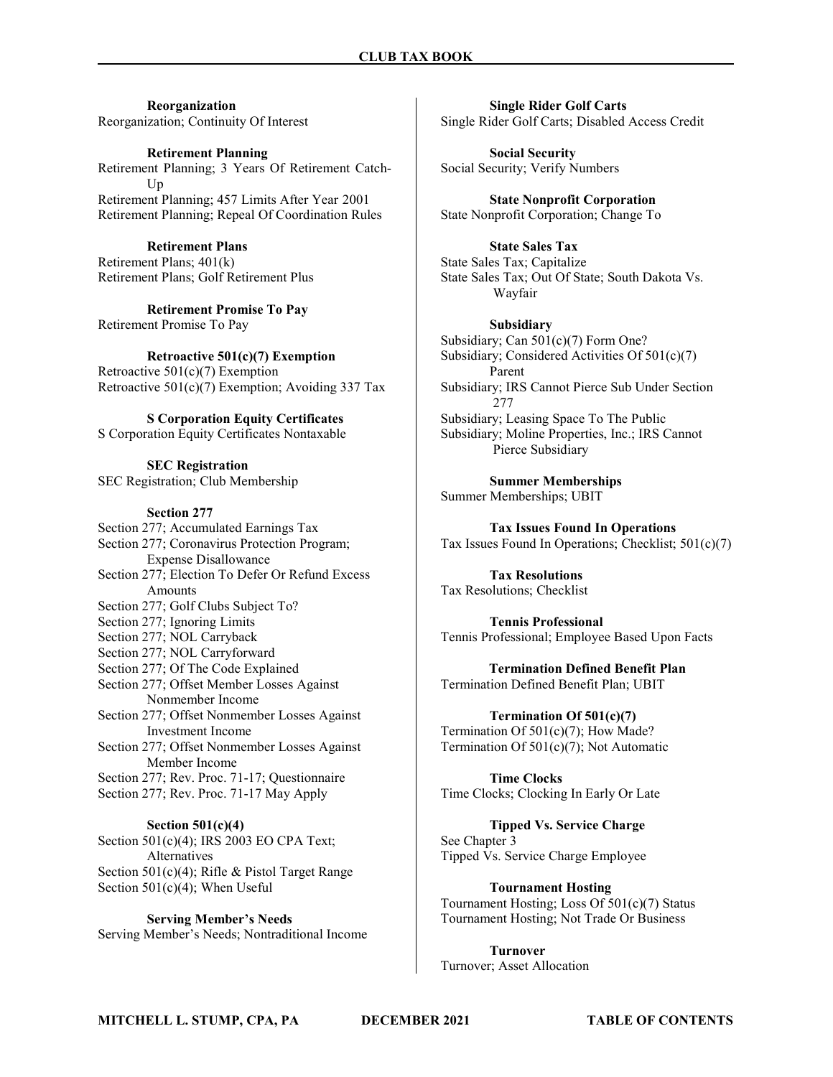Reorganization Reorganization; Continuity Of Interest

Retirement Planning Retirement Planning; 3 Years Of Retirement Catch- Up Retirement Planning; 457 Limits After Year 2001 Retirement Planning; Repeal Of Coordination Rules

Retirement Plans Retirement Plans; 401(k) Retirement Plans; Golf Retirement Plus

Retirement Promise To Pay Retirement Promise To Pay

Retroactive 501(c)(7) Exemption Retroactive 501(c)(7) Exemption Retroactive  $501(c)(7)$  Exemption; Avoiding 337 Tax

S Corporation Equity Certificates S Corporation Equity Certificates Nontaxable

SEC Registration SEC Registration; Club Membership

### Section 277

Section 277; Accumulated Earnings Tax Section 277; Coronavirus Protection Program; Expense Disallowance Section 277; Election To Defer Or Refund Excess Amounts Section 277; Golf Clubs Subject To? Section 277; Ignoring Limits Section 277; NOL Carryback Section 277; NOL Carryforward Section 277; Of The Code Explained Section 277; Offset Member Losses Against Nonmember Income Section 277; Offset Nonmember Losses Against Investment Income Section 277; Offset Nonmember Losses Against Member Income Section 277; Rev. Proc. 71-17; Questionnaire Section 277; Rev. Proc. 71-17 May Apply

Section 501(c)(4) Section 501(c)(4); IRS 2003 EO CPA Text; Alternatives Section 501(c)(4); Rifle & Pistol Target Range Section 501(c)(4); When Useful

Serving Member's Needs Serving Member's Needs; Nontraditional Income

Single Rider Golf Carts Single Rider Golf Carts; Disabled Access Credit

Social Security Social Security; Verify Numbers

State Nonprofit Corporation State Nonprofit Corporation; Change To

State Sales Tax State Sales Tax; Capitalize State Sales Tax; Out Of State; South Dakota Vs. Wayfair

Subsidiary Subsidiary; Can 501(c)(7) Form One? Subsidiary; Considered Activities Of 501(c)(7) Parent Subsidiary; IRS Cannot Pierce Sub Under Section 277 Subsidiary; Leasing Space To The Public Subsidiary; Moline Properties, Inc.; IRS Cannot Pierce Subsidiary

Summer Memberships Summer Memberships; UBIT

Tax Issues Found In Operations Tax Issues Found In Operations; Checklist; 501(c)(7)

Tax Resolutions Tax Resolutions; Checklist

Tennis Professional Tennis Professional; Employee Based Upon Facts

Termination Defined Benefit Plan Termination Defined Benefit Plan; UBIT

Termination Of 501(c)(7) Termination Of 501(c)(7); How Made? Termination Of 501(c)(7); Not Automatic

Time Clocks Time Clocks; Clocking In Early Or Late

Tipped Vs. Service Charge See Chapter 3 Tipped Vs. Service Charge Employee

Tournament Hosting Tournament Hosting; Loss Of 501(c)(7) Status Tournament Hosting; Not Trade Or Business

Turnover Turnover; Asset Allocation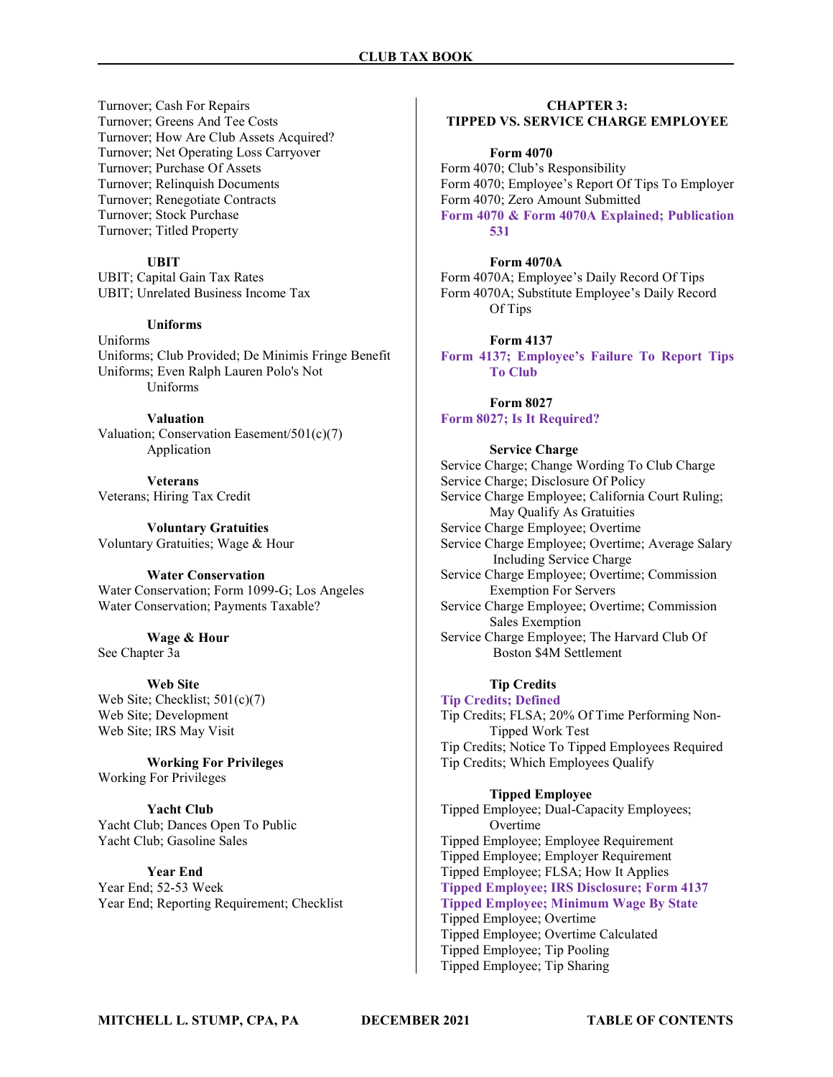Turnover; Cash For Repairs Turnover; Greens And Tee Costs Turnover; How Are Club Assets Acquired? Turnover; Net Operating Loss Carryover Turnover; Purchase Of Assets Turnover; Relinquish Documents Turnover; Renegotiate Contracts Turnover; Stock Purchase Turnover; Titled Property

### UBIT

UBIT; Capital Gain Tax Rates UBIT; Unrelated Business Income Tax

### Uniforms

Uniforms Uniforms; Club Provided; De Minimis Fringe Benefit Uniforms; Even Ralph Lauren Polo's Not Uniforms

### Valuation

Valuation; Conservation Easement/501(c)(7) Application

Veterans Veterans; Hiring Tax Credit

Voluntary Gratuities Voluntary Gratuities; Wage & Hour

### Water Conservation

Water Conservation; Form 1099-G; Los Angeles Water Conservation; Payments Taxable?

### Wage & Hour

See Chapter 3a

#### Web Site

Web Site; Checklist; 501(c)(7) Web Site; Development Web Site; IRS May Visit

Working For Privileges Working For Privileges

Yacht Club Yacht Club; Dances Open To Public Yacht Club; Gasoline Sales

### Year End

Year End; 52-53 Week Year End; Reporting Requirement; Checklist

## CHAPTER 3:

### TIPPED VS. SERVICE CHARGE EMPLOYEE

#### Form 4070

Form 4070; Club's Responsibility Form 4070; Employee's Report Of Tips To Employer Form 4070; Zero Amount Submitted Form 4070 & Form 4070A Explained; Publication 531

### Form 4070A

Form 4070A; Employee's Daily Record Of Tips Form 4070A; Substitute Employee's Daily Record Of Tips

#### Form 4137

Form 4137; Employee's Failure To Report Tips To Club

### Form 8027

Form 8027; Is It Required?

#### Service Charge

Service Charge; Change Wording To Club Charge Service Charge; Disclosure Of Policy Service Charge Employee; California Court Ruling; May Qualify As Gratuities Service Charge Employee; Overtime Service Charge Employee; Overtime; Average Salary Including Service Charge Service Charge Employee; Overtime; Commission Exemption For Servers Service Charge Employee; Overtime; Commission Sales Exemption Service Charge Employee; The Harvard Club Of Boston \$4M Settlement

### Tip Credits

Tip Credits; Defined Tip Credits; FLSA; 20% Of Time Performing Non- Tipped Work Test Tip Credits; Notice To Tipped Employees Required Tip Credits; Which Employees Qualify

### Tipped Employee

Tipped Employee; Dual-Capacity Employees; Overtime Tipped Employee; Employee Requirement Tipped Employee; Employer Requirement Tipped Employee; FLSA; How It Applies Tipped Employee; IRS Disclosure; Form 4137 Tipped Employee; Minimum Wage By State Tipped Employee; Overtime Tipped Employee; Overtime Calculated Tipped Employee; Tip Pooling Tipped Employee; Tip Sharing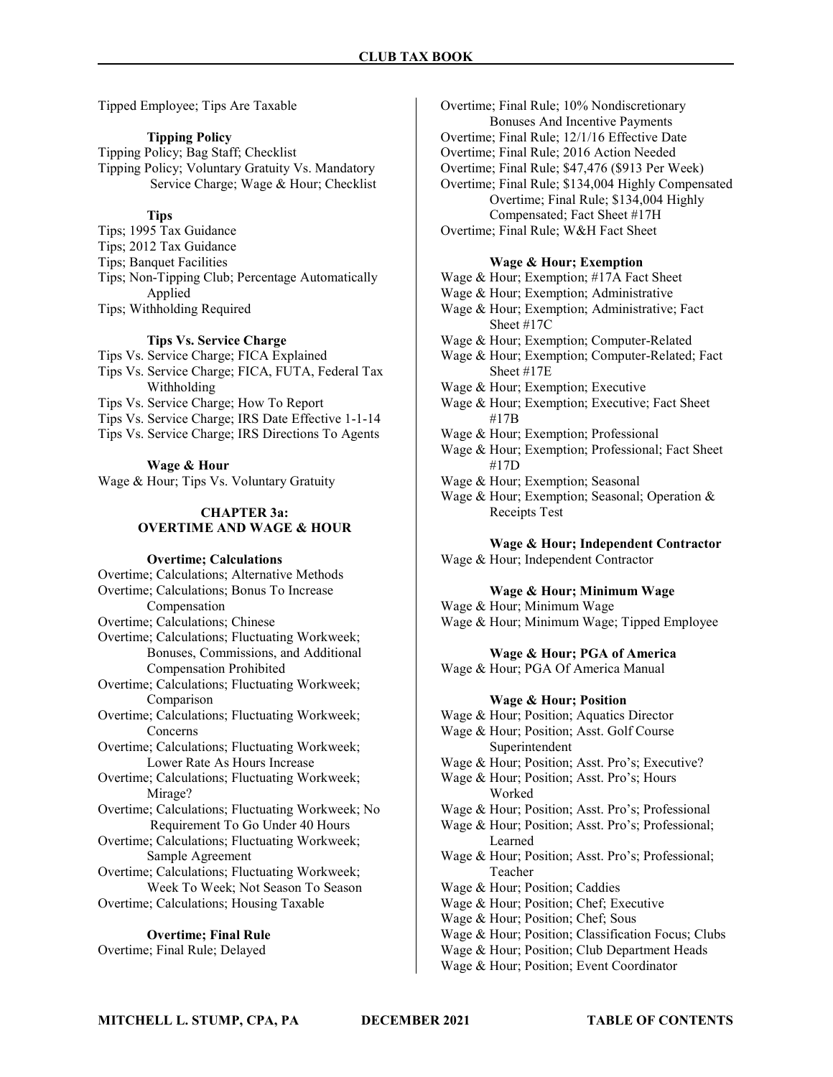Tipped Employee; Tips Are Taxable

### Tipping Policy

Tipping Policy; Bag Staff; Checklist Tipping Policy; Voluntary Gratuity Vs. Mandatory Service Charge; Wage & Hour; Checklist

### **Tips**

Tips; 1995 Tax Guidance Tips; 2012 Tax Guidance Tips; Banquet Facilities Tips; Non-Tipping Club; Percentage Automatically Applied Tips; Withholding Required

### Tips Vs. Service Charge

Tips Vs. Service Charge; FICA Explained

- Tips Vs. Service Charge; FICA, FUTA, Federal Tax Withholding
- Tips Vs. Service Charge; How To Report
- Tips Vs. Service Charge; IRS Date Effective 1-1-14
- Tips Vs. Service Charge; IRS Directions To Agents

### Wage & Hour

Wage & Hour; Tips Vs. Voluntary Gratuity

### CHAPTER 3a: OVERTIME AND WAGE & HOUR

### Overtime; Calculations

Overtime; Calculations; Alternative Methods Overtime; Calculations; Bonus To Increase Compensation Overtime; Calculations; Chinese Overtime; Calculations; Fluctuating Workweek; Bonuses, Commissions, and Additional Compensation Prohibited Overtime; Calculations; Fluctuating Workweek; Comparison Overtime; Calculations; Fluctuating Workweek; Concerns Overtime; Calculations; Fluctuating Workweek; Lower Rate As Hours Increase Overtime; Calculations; Fluctuating Workweek; Mirage? Overtime; Calculations; Fluctuating Workweek; No Requirement To Go Under 40 Hours Overtime; Calculations; Fluctuating Workweek; Sample Agreement Overtime; Calculations; Fluctuating Workweek; Week To Week; Not Season To Season Overtime; Calculations; Housing Taxable

### Overtime; Final Rule

Overtime; Final Rule; Delayed

Overtime; Final Rule; 10% Nondiscretionary Bonuses And Incentive Payments Overtime; Final Rule; 12/1/16 Effective Date Overtime; Final Rule; 2016 Action Needed Overtime; Final Rule; \$47,476 (\$913 Per Week) Overtime; Final Rule; \$134,004 Highly Compensated Overtime; Final Rule; \$134,004 Highly Compensated; Fact Sheet #17H Overtime; Final Rule; W&H Fact Sheet

### Wage & Hour; Exemption

Wage & Hour; Exemption; #17A Fact Sheet Wage & Hour; Exemption; Administrative Wage & Hour; Exemption; Administrative; Fact Sheet #17C Wage & Hour; Exemption; Computer-Related Wage & Hour; Exemption; Computer-Related; Fact Sheet #17E Wage & Hour; Exemption; Executive Wage & Hour; Exemption; Executive; Fact Sheet #17B Wage & Hour; Exemption; Professional

- Wage & Hour; Exemption; Professional; Fact Sheet #17D
- Wage & Hour; Exemption; Seasonal
- Wage & Hour; Exemption; Seasonal; Operation & Receipts Test

### Wage & Hour; Independent Contractor

Wage & Hour; Independent Contractor

### Wage & Hour; Minimum Wage

Wage & Hour; Minimum Wage Wage & Hour; Minimum Wage; Tipped Employee

#### Wage & Hour; PGA of America

Wage & Hour; PGA Of America Manual

#### Wage & Hour; Position

Wage & Hour; Position; Aquatics Director Wage & Hour; Position; Asst. Golf Course Superintendent Wage & Hour; Position; Asst. Pro's; Executive? Wage & Hour; Position; Asst. Pro's; Hours Worked Wage & Hour; Position; Asst. Pro's; Professional Wage & Hour; Position; Asst. Pro's; Professional; Learned Wage & Hour; Position; Asst. Pro's; Professional; Teacher Wage & Hour; Position; Caddies Wage & Hour; Position; Chef; Executive Wage & Hour; Position; Chef; Sous Wage & Hour; Position; Classification Focus; Clubs Wage & Hour; Position; Club Department Heads Wage & Hour; Position; Event Coordinator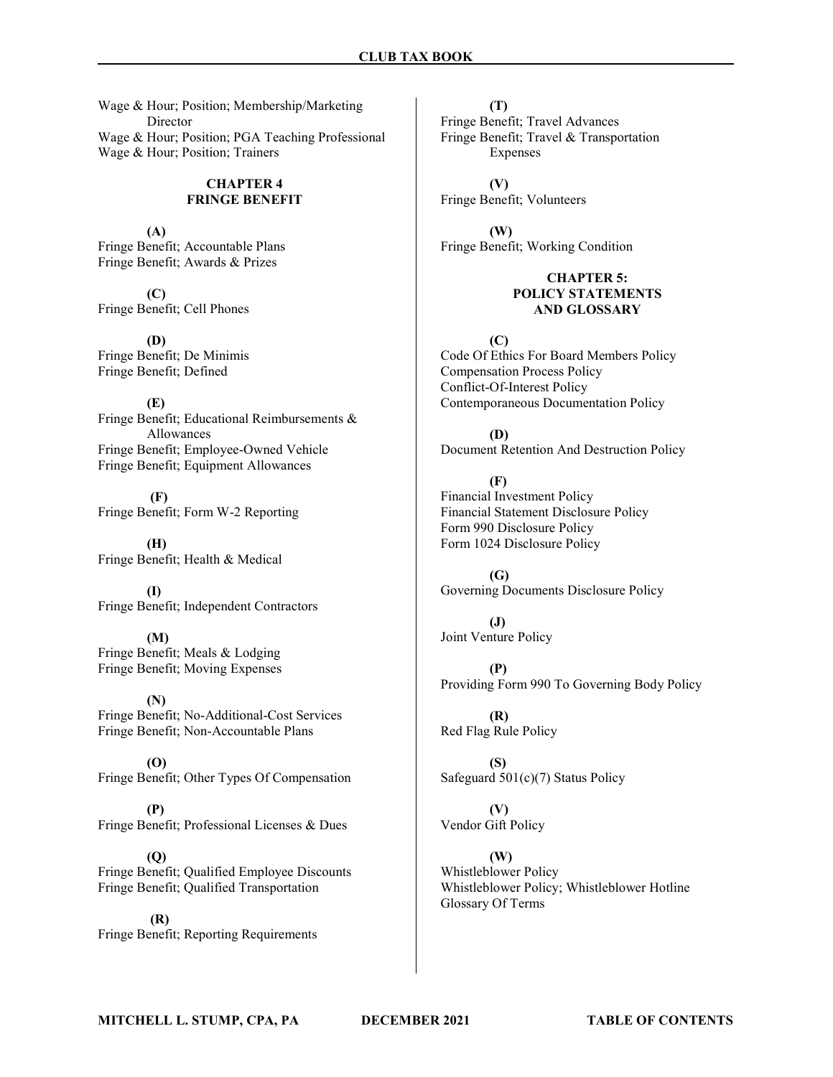Wage & Hour; Position; Membership/Marketing Director Wage & Hour; Position; PGA Teaching Professional Wage & Hour; Position; Trainers

### CHAPTER 4 FRINGE BENEFIT

(A) Fringe Benefit; Accountable Plans Fringe Benefit; Awards & Prizes

(C) Fringe Benefit; Cell Phones

(D) Fringe Benefit; De Minimis Fringe Benefit; Defined

(E) Fringe Benefit; Educational Reimbursements & Allowances Fringe Benefit; Employee-Owned Vehicle Fringe Benefit; Equipment Allowances

 (F) Fringe Benefit; Form W-2 Reporting

(H) Fringe Benefit; Health & Medical

(I) Fringe Benefit; Independent Contractors

(M) Fringe Benefit; Meals & Lodging Fringe Benefit; Moving Expenses

(N) Fringe Benefit; No-Additional-Cost Services Fringe Benefit; Non-Accountable Plans

(O) Fringe Benefit; Other Types Of Compensation

(P) Fringe Benefit; Professional Licenses & Dues

(Q) Fringe Benefit; Qualified Employee Discounts Fringe Benefit; Qualified Transportation

 (R) Fringe Benefit; Reporting Requirements

(T) Fringe Benefit; Travel Advances Fringe Benefit; Travel & Transportation Expenses

(V) Fringe Benefit; Volunteers

(W) Fringe Benefit; Working Condition

### CHAPTER 5: POLICY STATEMENTS AND GLOSSARY

 $(C)$ Code Of Ethics For Board Members Policy Compensation Process Policy Conflict-Of-Interest Policy Contemporaneous Documentation Policy

(D) Document Retention And Destruction Policy

(F) Financial Investment Policy Financial Statement Disclosure Policy Form 990 Disclosure Policy Form 1024 Disclosure Policy

 $(G)$ Governing Documents Disclosure Policy

(J) Joint Venture Policy

(P) Providing Form 990 To Governing Body Policy

(R) Red Flag Rule Policy

(S) Safeguard 501(c)(7) Status Policy

(V) Vendor Gift Policy

(W) Whistleblower Policy Whistleblower Policy; Whistleblower Hotline Glossary Of Terms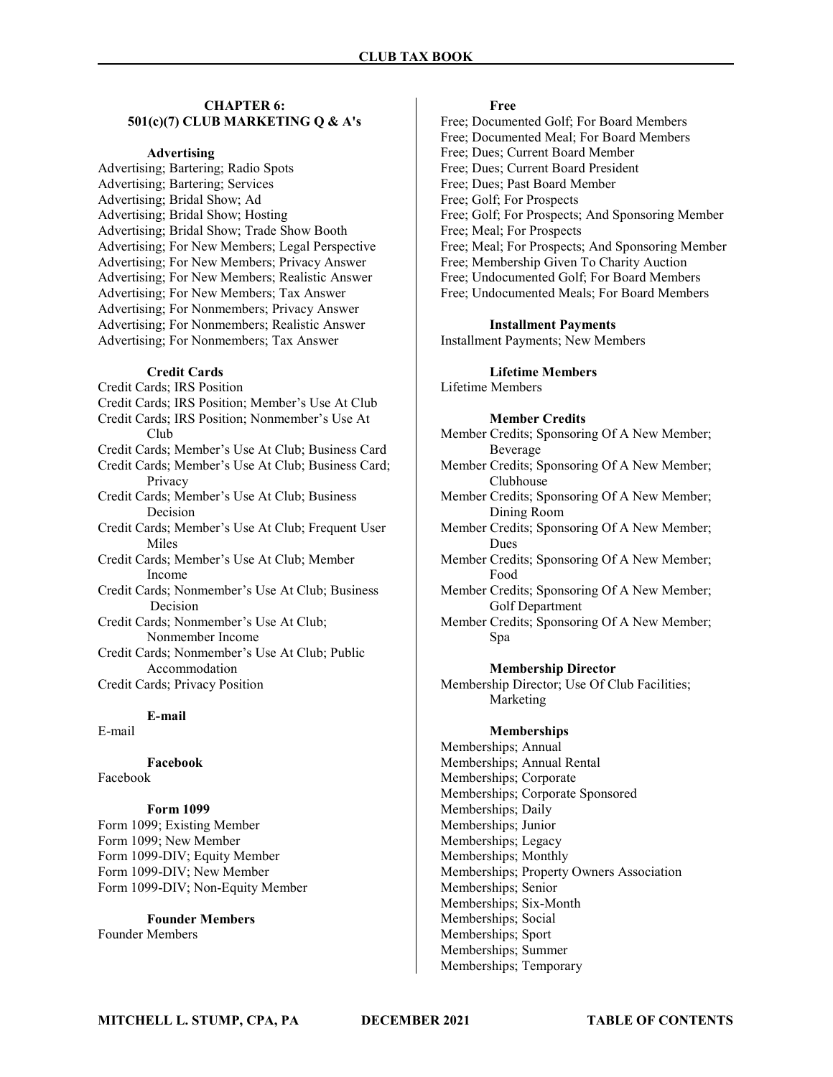### CHAPTER 6: 501(c)(7) CLUB MARKETING Q & A's

#### Advertising

Advertising; Bartering; Radio Spots Advertising; Bartering; Services Advertising; Bridal Show; Ad Advertising; Bridal Show; Hosting Advertising; Bridal Show; Trade Show Booth Advertising; For New Members; Legal Perspective Advertising; For New Members; Privacy Answer Advertising; For New Members; Realistic Answer Advertising; For New Members; Tax Answer Advertising; For Nonmembers; Privacy Answer Advertising; For Nonmembers; Realistic Answer Advertising; For Nonmembers; Tax Answer

#### Credit Cards

Credit Cards; IRS Position Credit Cards; IRS Position; Member's Use At Club Credit Cards; IRS Position; Nonmember's Use At Club Credit Cards; Member's Use At Club; Business Card Credit Cards; Member's Use At Club; Business Card; Privacy Credit Cards; Member's Use At Club; Business Decision Credit Cards; Member's Use At Club; Frequent User Miles Credit Cards; Member's Use At Club; Member Income Credit Cards; Nonmember's Use At Club; Business Decision Credit Cards; Nonmember's Use At Club; Nonmember Income Credit Cards; Nonmember's Use At Club; Public Accommodation Credit Cards; Privacy Position

### E-mail

E-mail

Facebook Facebook

### Form 1099

Form 1099; Existing Member Form 1099; New Member Form 1099-DIV; Equity Member Form 1099-DIV; New Member Form 1099-DIV; Non-Equity Member

### Founder Members

Founder Members

### Free

Free; Documented Golf; For Board Members Free; Documented Meal; For Board Members Free; Dues; Current Board Member Free; Dues; Current Board President Free; Dues; Past Board Member Free; Golf; For Prospects Free; Golf; For Prospects; And Sponsoring Member Free; Meal; For Prospects Free; Meal; For Prospects; And Sponsoring Member Free; Membership Given To Charity Auction Free; Undocumented Golf; For Board Members Free; Undocumented Meals; For Board Members

#### Installment Payments

Installment Payments; New Members

### Lifetime Members

Lifetime Members

### Member Credits

- Member Credits; Sponsoring Of A New Member; Beverage
- Member Credits; Sponsoring Of A New Member; Clubhouse
- Member Credits; Sponsoring Of A New Member; Dining Room
- Member Credits; Sponsoring Of A New Member; Dues
- Member Credits; Sponsoring Of A New Member; Food
- Member Credits; Sponsoring Of A New Member; Golf Department
- Member Credits; Sponsoring Of A New Member; Spa

#### Membership Director

Membership Director; Use Of Club Facilities; Marketing

#### Memberships

Memberships; Annual Memberships; Annual Rental Memberships; Corporate Memberships; Corporate Sponsored Memberships; Daily Memberships; Junior Memberships; Legacy Memberships; Monthly Memberships; Property Owners Association Memberships; Senior Memberships; Six-Month Memberships; Social Memberships; Sport Memberships; Summer Memberships; Temporary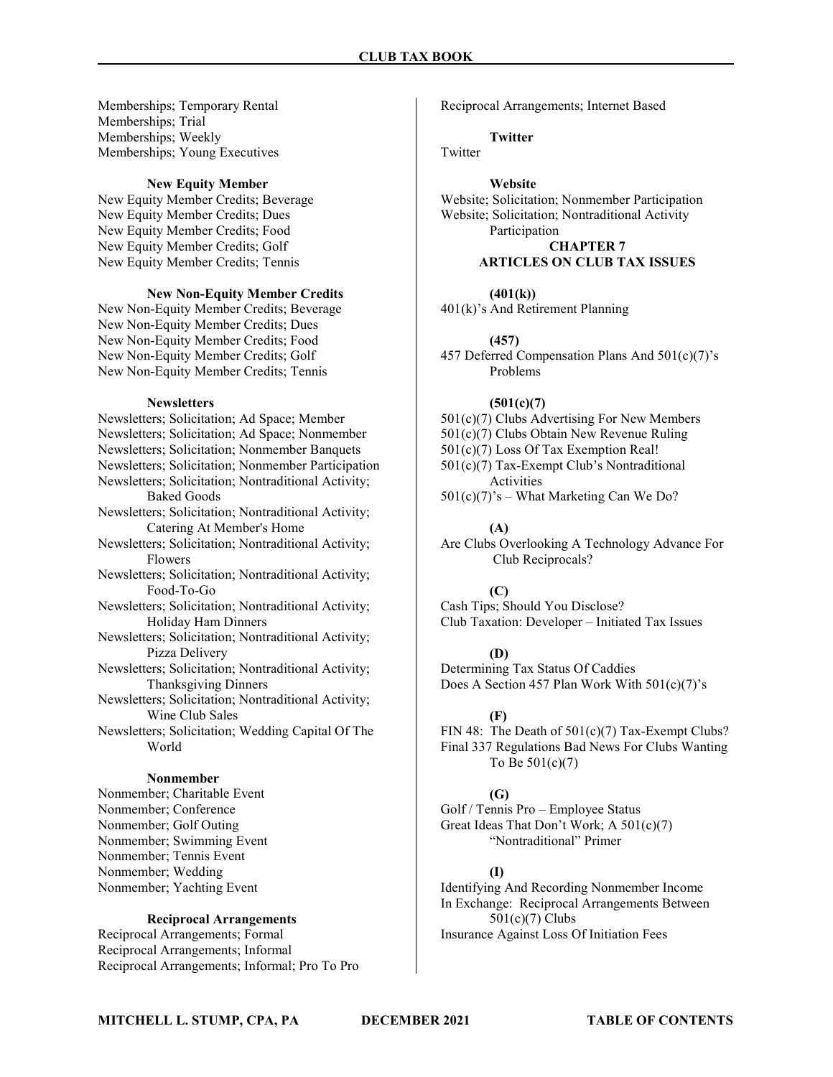Memberships; Temporary Rental Memberships; Trial Memberships; Weekly Memberships; Young Executives

### New Equity Member

New Equity Member Credits; Beverage New Equity Member Credits; Dues New Equity Member Credits; Food New Equity Member Credits; Golf New Equity Member Credits; Tennis

### New Non-Equity Member Credits

New Non-Equity Member Credits; Beverage New Non-Equity Member Credits; Dues New Non-Equity Member Credits; Food New Non-Equity Member Credits; Golf New Non-Equity Member Credits; Tennis

#### **Newsletters**

Newsletters; Solicitation; Ad Space; Member Newsletters; Solicitation; Ad Space; Nonmember Newsletters; Solicitation; Nonmember Banquets Newsletters; Solicitation; Nonmember Participation Newsletters; Solicitation; Nontraditional Activity; Baked Goods Newsletters; Solicitation; Nontraditional Activity; Catering At Member's Home Newsletters; Solicitation; Nontraditional Activity; Flowers Newsletters; Solicitation; Nontraditional Activity; Food-To-Go Newsletters; Solicitation; Nontraditional Activity; Holiday Ham Dinners Newsletters; Solicitation; Nontraditional Activity; Pizza Delivery Newsletters; Solicitation; Nontraditional Activity; Thanksgiving Dinners Newsletters; Solicitation; Nontraditional Activity; Wine Club Sales Newsletters; Solicitation; Wedding Capital Of The World Nonmember

Nonmember; Charitable Event Nonmember; Conference Nonmember; Golf Outing Nonmember; Swimming Event Nonmember; Tennis Event Nonmember; Wedding Nonmember; Yachting Event

### Reciprocal Arrangements

Reciprocal Arrangements; Formal Reciprocal Arrangements; Informal Reciprocal Arrangements; Informal; Pro To Pro Reciprocal Arrangements; Internet Based

Twitter

**Twitter** 

### Website

Website; Solicitation; Nonmember Participation Website; Solicitation; Nontraditional Activity Participation CHAPTER 7

### ARTICLES ON CLUB TAX ISSUES

### $(401(k))$

401(k)'s And Retirement Planning

#### (457)

457 Deferred Compensation Plans And 501(c)(7)'s Problems

### $(501(c)(7)$

- 501(c)(7) Clubs Advertising For New Members
- 501(c)(7) Clubs Obtain New Revenue Ruling
- 501(c)(7) Loss Of Tax Exemption Real!

501(c)(7) Tax-Exempt Club's Nontraditional Activities

 $501(c)(7)$ 's – What Marketing Can We Do?

### (A)

Are Clubs Overlooking A Technology Advance For Club Reciprocals?

### (C)

Cash Tips; Should You Disclose? Club Taxation: Developer – Initiated Tax Issues

### (D)

Determining Tax Status Of Caddies Does A Section 457 Plan Work With 501(c)(7)'s

#### (F)

FIN 48: The Death of  $501(c)(7)$  Tax-Exempt Clubs? Final 337 Regulations Bad News For Clubs Wanting To Be 501(c)(7)

### (G)

Golf / Tennis Pro – Employee Status Great Ideas That Don't Work; A 501(c)(7) "Nontraditional" Primer

### (I)

Identifying And Recording Nonmember Income In Exchange: Reciprocal Arrangements Between 501(c)(7) Clubs Insurance Against Loss Of Initiation Fees